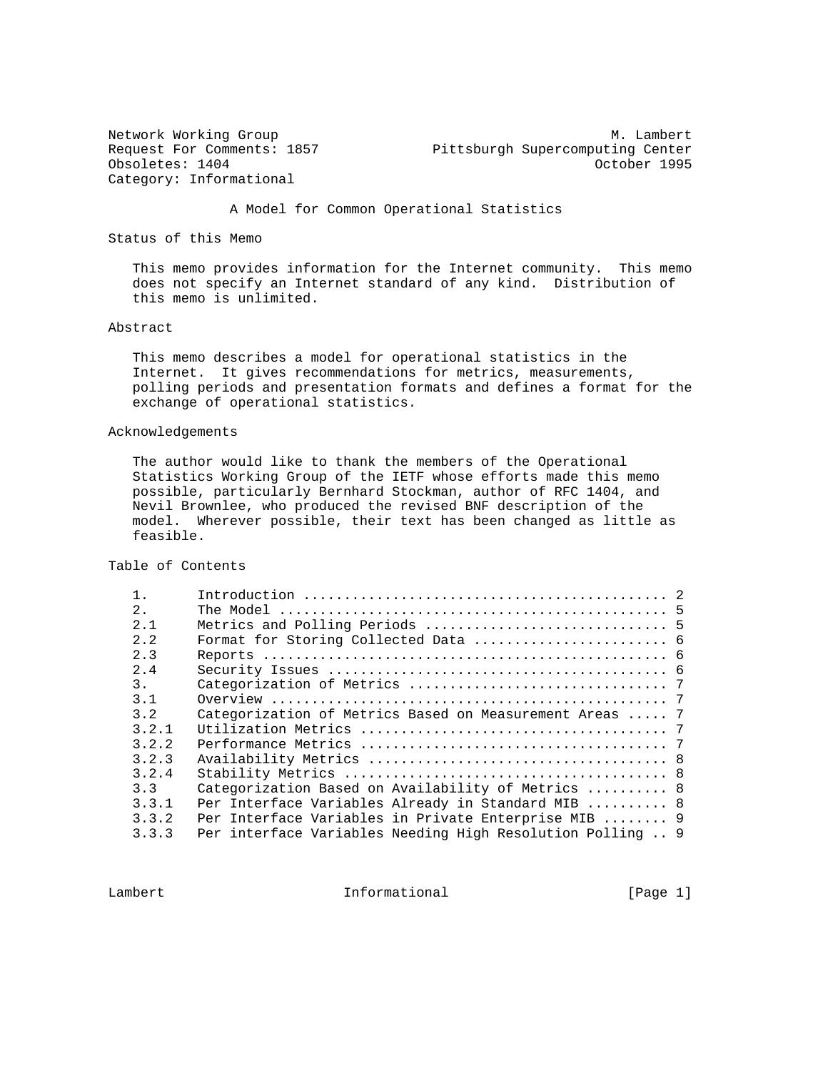Obsoletes: 1404 Cobsoletes: 0404 Category: Informational

Network Working Group Methods and M. Lambert Request For Comments: 1857 Pittsburgh Supercomputing Center

A Model for Common Operational Statistics

Status of this Memo

 This memo provides information for the Internet community. This memo does not specify an Internet standard of any kind. Distribution of this memo is unlimited.

#### Abstract

 This memo describes a model for operational statistics in the Internet. It gives recommendations for metrics, measurements, polling periods and presentation formats and defines a format for the exchange of operational statistics.

# Acknowledgements

 The author would like to thank the members of the Operational Statistics Working Group of the IETF whose efforts made this memo possible, particularly Bernhard Stockman, author of RFC 1404, and Nevil Brownlee, who produced the revised BNF description of the model. Wherever possible, their text has been changed as little as feasible.

Table of Contents

| 2.    |                                                                                                                                                                                                                                                                                           |
|-------|-------------------------------------------------------------------------------------------------------------------------------------------------------------------------------------------------------------------------------------------------------------------------------------------|
| 2.1   |                                                                                                                                                                                                                                                                                           |
| 2.2   |                                                                                                                                                                                                                                                                                           |
| 2.3   |                                                                                                                                                                                                                                                                                           |
| 2.4   |                                                                                                                                                                                                                                                                                           |
| 3.    |                                                                                                                                                                                                                                                                                           |
| 3.1   |                                                                                                                                                                                                                                                                                           |
| 3.2   |                                                                                                                                                                                                                                                                                           |
| 3.2.1 |                                                                                                                                                                                                                                                                                           |
| 3.2.2 |                                                                                                                                                                                                                                                                                           |
| 3.2.3 |                                                                                                                                                                                                                                                                                           |
| 3.2.4 |                                                                                                                                                                                                                                                                                           |
| 3.3   |                                                                                                                                                                                                                                                                                           |
| 3.3.1 |                                                                                                                                                                                                                                                                                           |
| 3.3.2 |                                                                                                                                                                                                                                                                                           |
| 3.3.3 |                                                                                                                                                                                                                                                                                           |
|       | Categorization of Metrics Based on Measurement Areas  7<br>Categorization Based on Availability of Metrics  8<br>Per Interface Variables Already in Standard MIB  8<br>Per Interface Variables in Private Enterprise MIB  9<br>Per interface Variables Needing High Resolution Polling  9 |

Lambert 11 1nformational 11 11 [Page 1]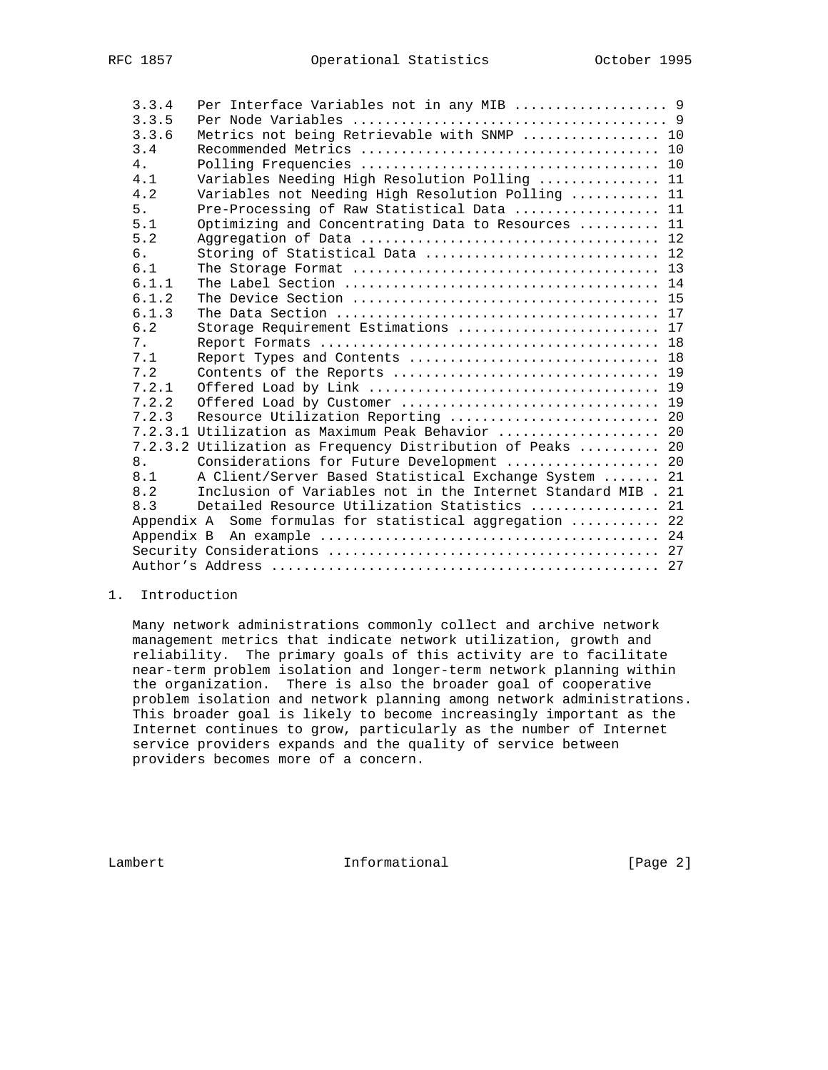| 3.3.4 | Per Interface Variables not in any MIB  9          |                                                                                                                                                                                                                                                                                                                                                     |
|-------|----------------------------------------------------|-----------------------------------------------------------------------------------------------------------------------------------------------------------------------------------------------------------------------------------------------------------------------------------------------------------------------------------------------------|
| 3.3.5 |                                                    |                                                                                                                                                                                                                                                                                                                                                     |
| 3.3.6 | Metrics not being Retrievable with SNMP  10        |                                                                                                                                                                                                                                                                                                                                                     |
| 3.4   |                                                    |                                                                                                                                                                                                                                                                                                                                                     |
| 4.    |                                                    |                                                                                                                                                                                                                                                                                                                                                     |
| 4.1   | Variables Needing High Resolution Polling  11      |                                                                                                                                                                                                                                                                                                                                                     |
| 4.2   | Variables not Needing High Resolution Polling  11  |                                                                                                                                                                                                                                                                                                                                                     |
| 5.    | Pre-Processing of Raw Statistical Data  11         |                                                                                                                                                                                                                                                                                                                                                     |
| 5.1   | Optimizing and Concentrating Data to Resources  11 |                                                                                                                                                                                                                                                                                                                                                     |
| 5.2   |                                                    |                                                                                                                                                                                                                                                                                                                                                     |
| б.    | Storing of Statistical Data  12                    |                                                                                                                                                                                                                                                                                                                                                     |
| 6.1   |                                                    |                                                                                                                                                                                                                                                                                                                                                     |
| 6.1.1 |                                                    |                                                                                                                                                                                                                                                                                                                                                     |
| 6.1.2 |                                                    |                                                                                                                                                                                                                                                                                                                                                     |
| 6.1.3 |                                                    |                                                                                                                                                                                                                                                                                                                                                     |
| 6.2   | Storage Requirement Estimations  17                |                                                                                                                                                                                                                                                                                                                                                     |
| 7.    |                                                    |                                                                                                                                                                                                                                                                                                                                                     |
| 7.1   | Report Types and Contents  18                      |                                                                                                                                                                                                                                                                                                                                                     |
| 7.2   |                                                    |                                                                                                                                                                                                                                                                                                                                                     |
| 7.2.1 |                                                    |                                                                                                                                                                                                                                                                                                                                                     |
|       |                                                    |                                                                                                                                                                                                                                                                                                                                                     |
| 7.2.3 | Resource Utilization Reporting  20                 |                                                                                                                                                                                                                                                                                                                                                     |
|       |                                                    |                                                                                                                                                                                                                                                                                                                                                     |
|       |                                                    |                                                                                                                                                                                                                                                                                                                                                     |
| 8.    |                                                    |                                                                                                                                                                                                                                                                                                                                                     |
| 8.1   |                                                    |                                                                                                                                                                                                                                                                                                                                                     |
|       |                                                    |                                                                                                                                                                                                                                                                                                                                                     |
| 8.3   | Detailed Resource Utilization Statistics  21       |                                                                                                                                                                                                                                                                                                                                                     |
|       |                                                    |                                                                                                                                                                                                                                                                                                                                                     |
|       |                                                    |                                                                                                                                                                                                                                                                                                                                                     |
|       |                                                    |                                                                                                                                                                                                                                                                                                                                                     |
|       |                                                    |                                                                                                                                                                                                                                                                                                                                                     |
|       | 7.2.2<br>8.2                                       | 7.2.3.1 Utilization as Maximum Peak Behavior  20<br>7.2.3.2 Utilization as Frequency Distribution of Peaks  20<br>Considerations for Future Development  20<br>A Client/Server Based Statistical Exchange System  21<br>Inclusion of Variables not in the Internet Standard MIB . 21<br>Some formulas for statistical aggregation  22<br>Appendix A |

# 1. Introduction

 Many network administrations commonly collect and archive network management metrics that indicate network utilization, growth and reliability. The primary goals of this activity are to facilitate near-term problem isolation and longer-term network planning within the organization. There is also the broader goal of cooperative problem isolation and network planning among network administrations. This broader goal is likely to become increasingly important as the Internet continues to grow, particularly as the number of Internet service providers expands and the quality of service between providers becomes more of a concern.

Lambert 1nformational [Page 2]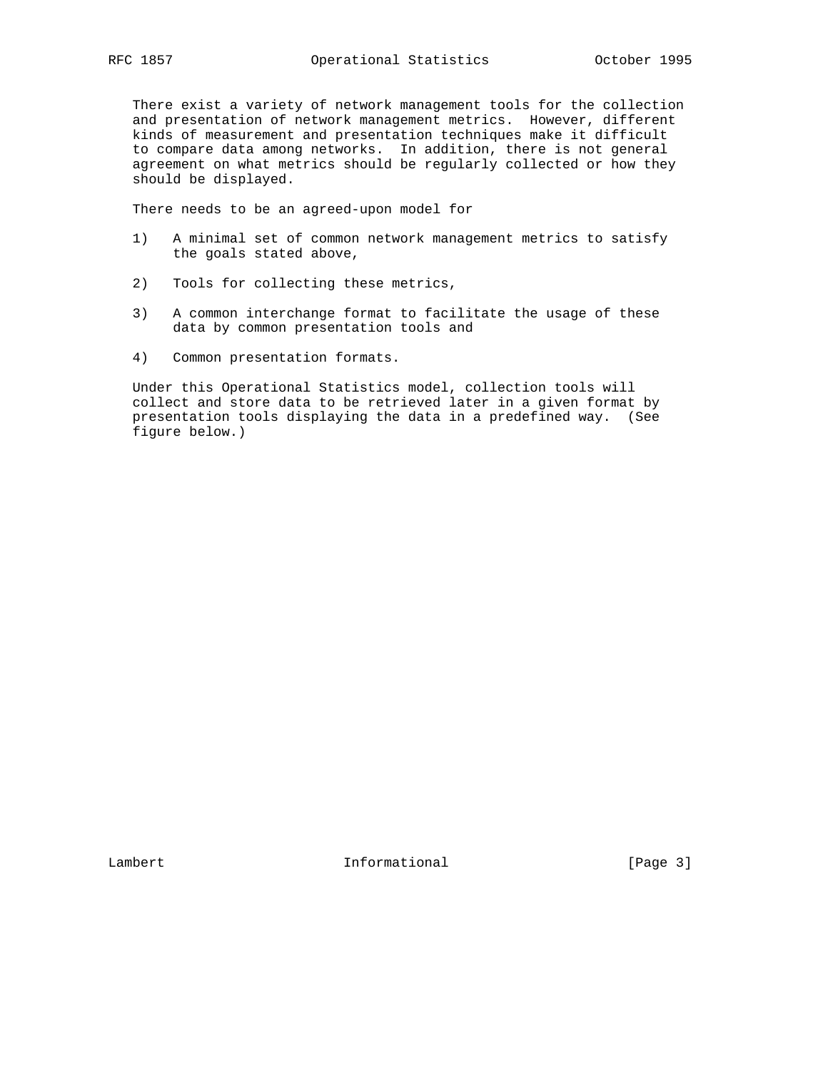There exist a variety of network management tools for the collection and presentation of network management metrics. However, different kinds of measurement and presentation techniques make it difficult to compare data among networks. In addition, there is not general agreement on what metrics should be regularly collected or how they should be displayed.

There needs to be an agreed-upon model for

- 1) A minimal set of common network management metrics to satisfy the goals stated above,
- 2) Tools for collecting these metrics,
- 3) A common interchange format to facilitate the usage of these data by common presentation tools and
- 4) Common presentation formats.

 Under this Operational Statistics model, collection tools will collect and store data to be retrieved later in a given format by presentation tools displaying the data in a predefined way. (See figure below.)

Lambert 1nformational [Page 3]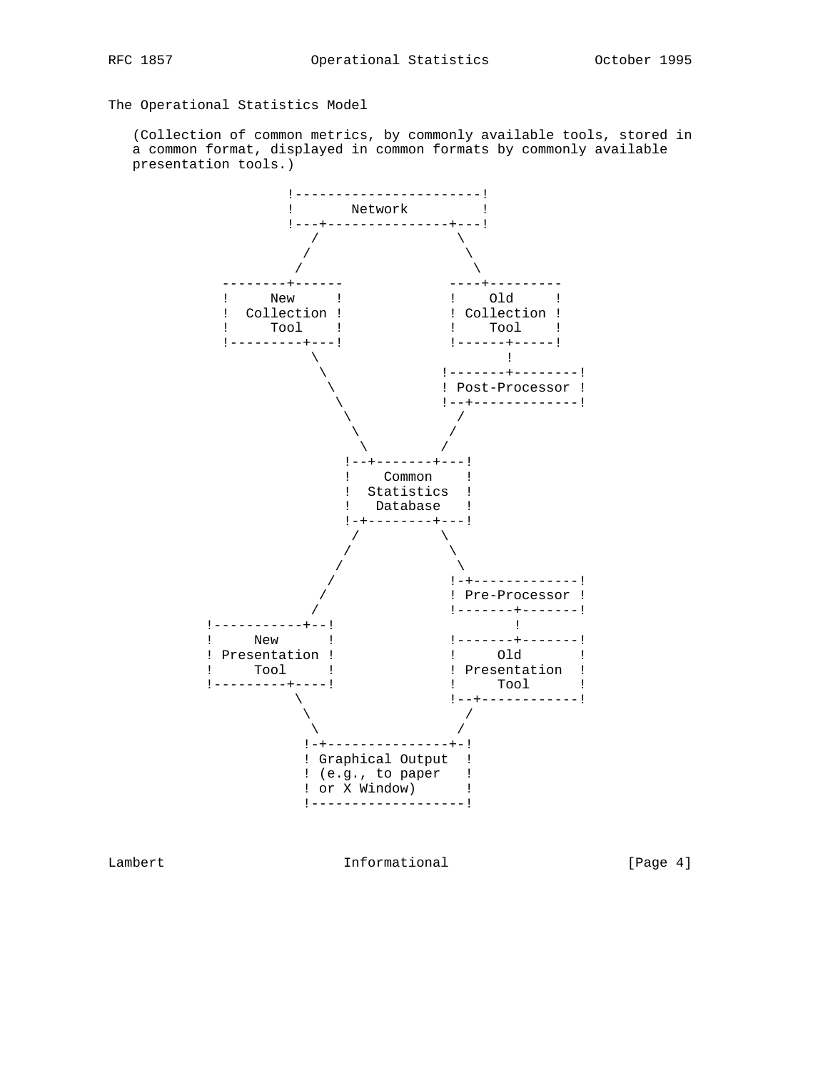The Operational Statistics Model

 (Collection of common metrics, by commonly available tools, stored in a common format, displayed in common formats by commonly available presentation tools.)



Lambert 1nformational [Page 4]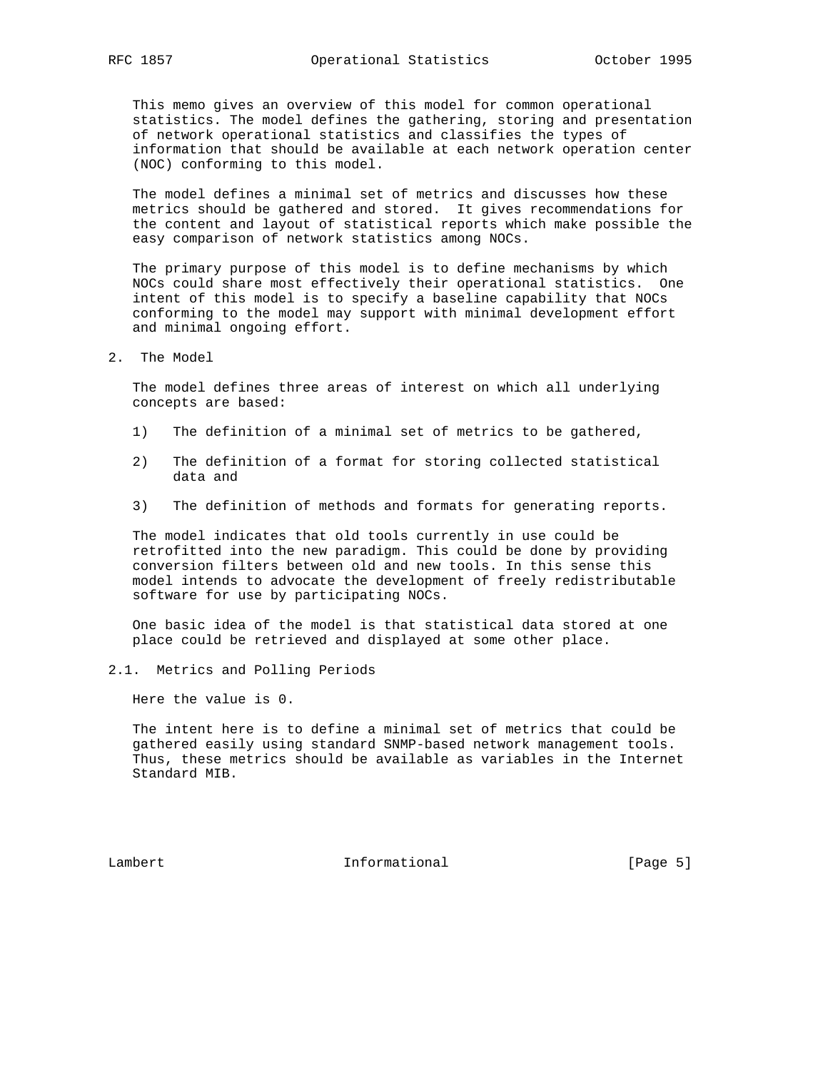This memo gives an overview of this model for common operational statistics. The model defines the gathering, storing and presentation of network operational statistics and classifies the types of information that should be available at each network operation center (NOC) conforming to this model.

 The model defines a minimal set of metrics and discusses how these metrics should be gathered and stored. It gives recommendations for the content and layout of statistical reports which make possible the easy comparison of network statistics among NOCs.

 The primary purpose of this model is to define mechanisms by which NOCs could share most effectively their operational statistics. One intent of this model is to specify a baseline capability that NOCs conforming to the model may support with minimal development effort and minimal ongoing effort.

2. The Model

 The model defines three areas of interest on which all underlying concepts are based:

- 1) The definition of a minimal set of metrics to be gathered,
- 2) The definition of a format for storing collected statistical data and
- 3) The definition of methods and formats for generating reports.

 The model indicates that old tools currently in use could be retrofitted into the new paradigm. This could be done by providing conversion filters between old and new tools. In this sense this model intends to advocate the development of freely redistributable software for use by participating NOCs.

 One basic idea of the model is that statistical data stored at one place could be retrieved and displayed at some other place.

2.1. Metrics and Polling Periods

Here the value is 0.

 The intent here is to define a minimal set of metrics that could be gathered easily using standard SNMP-based network management tools. Thus, these metrics should be available as variables in the Internet Standard MIB.

Lambert 1nformational [Page 5]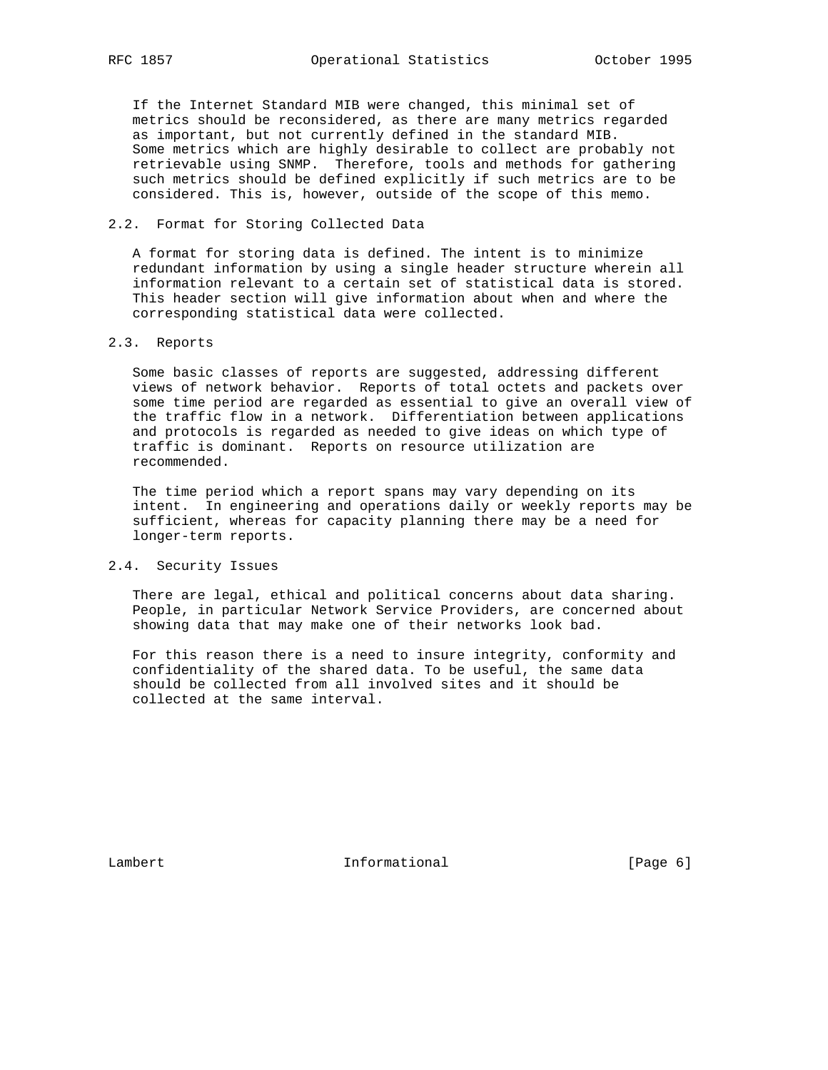If the Internet Standard MIB were changed, this minimal set of metrics should be reconsidered, as there are many metrics regarded as important, but not currently defined in the standard MIB. Some metrics which are highly desirable to collect are probably not retrievable using SNMP. Therefore, tools and methods for gathering such metrics should be defined explicitly if such metrics are to be considered. This is, however, outside of the scope of this memo.

# 2.2. Format for Storing Collected Data

 A format for storing data is defined. The intent is to minimize redundant information by using a single header structure wherein all information relevant to a certain set of statistical data is stored. This header section will give information about when and where the corresponding statistical data were collected.

## 2.3. Reports

 Some basic classes of reports are suggested, addressing different views of network behavior. Reports of total octets and packets over some time period are regarded as essential to give an overall view of the traffic flow in a network. Differentiation between applications and protocols is regarded as needed to give ideas on which type of traffic is dominant. Reports on resource utilization are recommended.

 The time period which a report spans may vary depending on its intent. In engineering and operations daily or weekly reports may be sufficient, whereas for capacity planning there may be a need for longer-term reports.

#### 2.4. Security Issues

 There are legal, ethical and political concerns about data sharing. People, in particular Network Service Providers, are concerned about showing data that may make one of their networks look bad.

 For this reason there is a need to insure integrity, conformity and confidentiality of the shared data. To be useful, the same data should be collected from all involved sites and it should be collected at the same interval.

Lambert 1nformational [Page 6]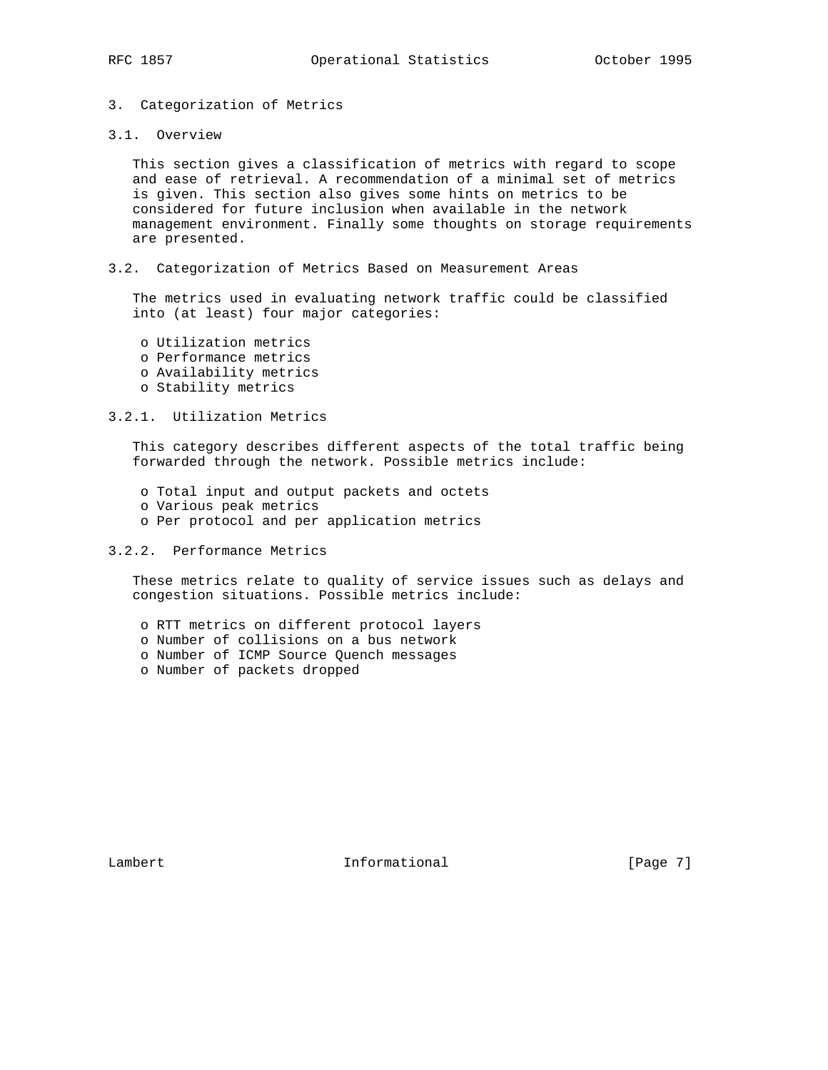# 3. Categorization of Metrics

#### 3.1. Overview

 This section gives a classification of metrics with regard to scope and ease of retrieval. A recommendation of a minimal set of metrics is given. This section also gives some hints on metrics to be considered for future inclusion when available in the network management environment. Finally some thoughts on storage requirements are presented.

3.2. Categorization of Metrics Based on Measurement Areas

 The metrics used in evaluating network traffic could be classified into (at least) four major categories:

- o Utilization metrics
- o Performance metrics
- o Availability metrics
- o Stability metrics

## 3.2.1. Utilization Metrics

 This category describes different aspects of the total traffic being forwarded through the network. Possible metrics include:

- o Total input and output packets and octets
- o Various peak metrics
- o Per protocol and per application metrics

# 3.2.2. Performance Metrics

 These metrics relate to quality of service issues such as delays and congestion situations. Possible metrics include:

- o RTT metrics on different protocol layers
- o Number of collisions on a bus network
- o Number of ICMP Source Quench messages
- o Number of packets dropped

Lambert 1nformational [Page 7]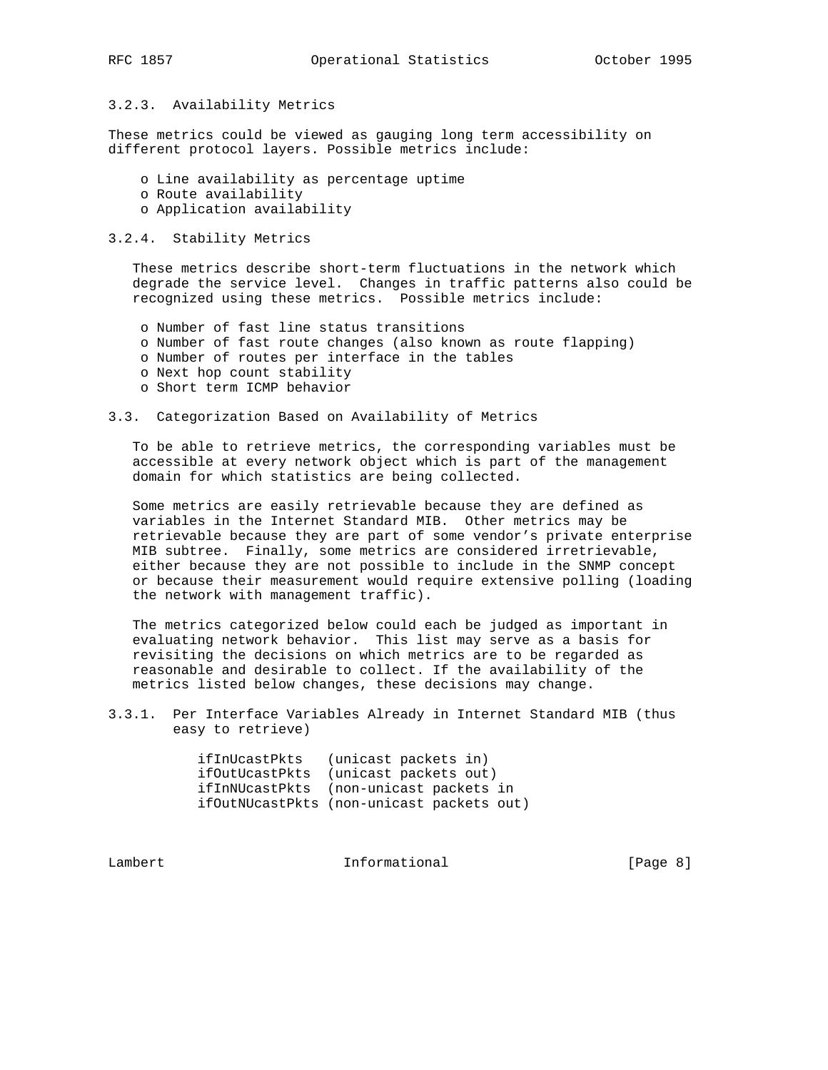# 3.2.3. Availability Metrics

These metrics could be viewed as gauging long term accessibility on different protocol layers. Possible metrics include:

- o Line availability as percentage uptime
- o Route availability
- o Application availability

#### 3.2.4. Stability Metrics

 These metrics describe short-term fluctuations in the network which degrade the service level. Changes in traffic patterns also could be recognized using these metrics. Possible metrics include:

- o Number of fast line status transitions
- o Number of fast route changes (also known as route flapping)
- o Number of routes per interface in the tables
- o Next hop count stability
- o Short term ICMP behavior

# 3.3. Categorization Based on Availability of Metrics

 To be able to retrieve metrics, the corresponding variables must be accessible at every network object which is part of the management domain for which statistics are being collected.

 Some metrics are easily retrievable because they are defined as variables in the Internet Standard MIB. Other metrics may be retrievable because they are part of some vendor's private enterprise MIB subtree. Finally, some metrics are considered irretrievable, either because they are not possible to include in the SNMP concept or because their measurement would require extensive polling (loading the network with management traffic).

 The metrics categorized below could each be judged as important in evaluating network behavior. This list may serve as a basis for revisiting the decisions on which metrics are to be regarded as reasonable and desirable to collect. If the availability of the metrics listed below changes, these decisions may change.

3.3.1. Per Interface Variables Already in Internet Standard MIB (thus easy to retrieve)

| ifInUcastPkts  | (unicast packets in)                      |
|----------------|-------------------------------------------|
| ifOutUcastPkts | (unicast packets out)                     |
|                | ifInNUcastPkts (non-unicast packets in    |
|                | ifOutNUcastPkts (non-unicast packets out) |

Lambert 1nformational [Page 8]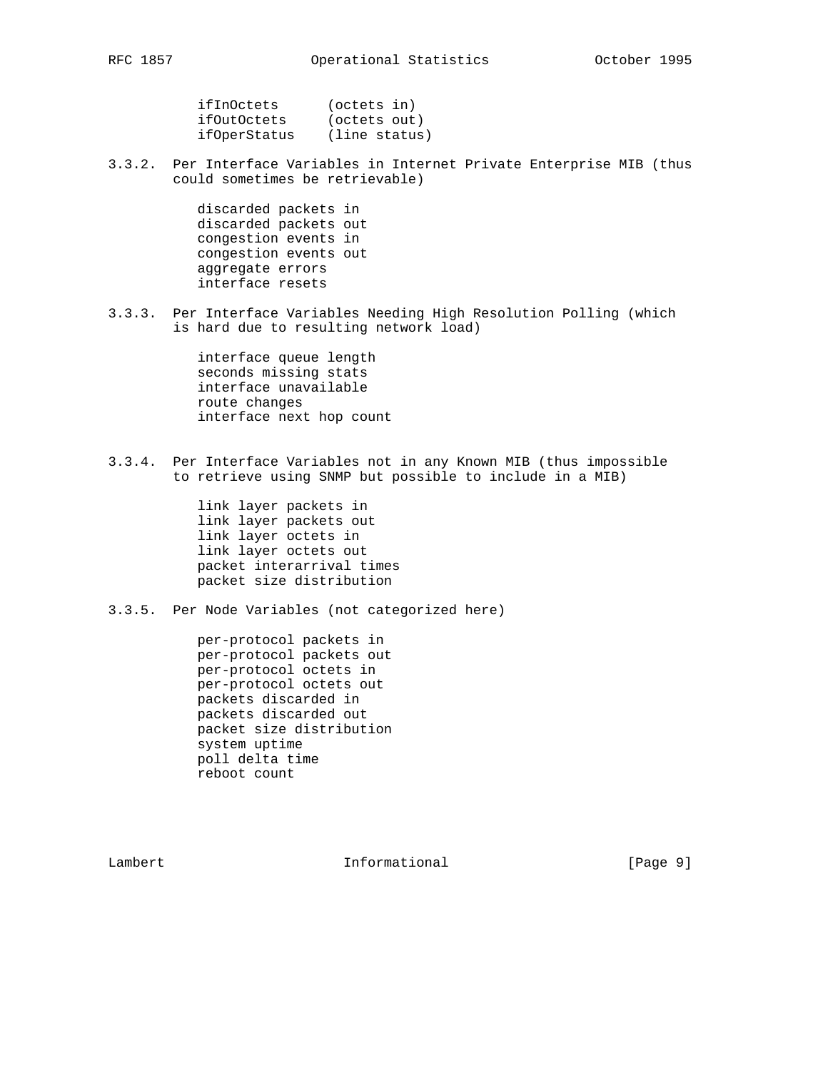| RFC | 85 |
|-----|----|
|-----|----|

| ifInOctets   | (octets in)   |
|--------------|---------------|
| ifOutOctets  | (octets out)  |
| ifOperStatus | (line status) |

3.3.2. Per Interface Variables in Internet Private Enterprise MIB (thus could sometimes be retrievable)

> discarded packets in discarded packets out congestion events in congestion events out aggregate errors interface resets

3.3.3. Per Interface Variables Needing High Resolution Polling (which is hard due to resulting network load)

> interface queue length seconds missing stats interface unavailable route changes interface next hop count

3.3.4. Per Interface Variables not in any Known MIB (thus impossible to retrieve using SNMP but possible to include in a MIB)

> link layer packets in link layer packets out link layer octets in link layer octets out packet interarrival times packet size distribution

3.3.5. Per Node Variables (not categorized here)

 per-protocol packets in per-protocol packets out per-protocol octets in per-protocol octets out packets discarded in packets discarded out packet size distribution system uptime poll delta time reboot count

Lambert 1nformational [Page 9]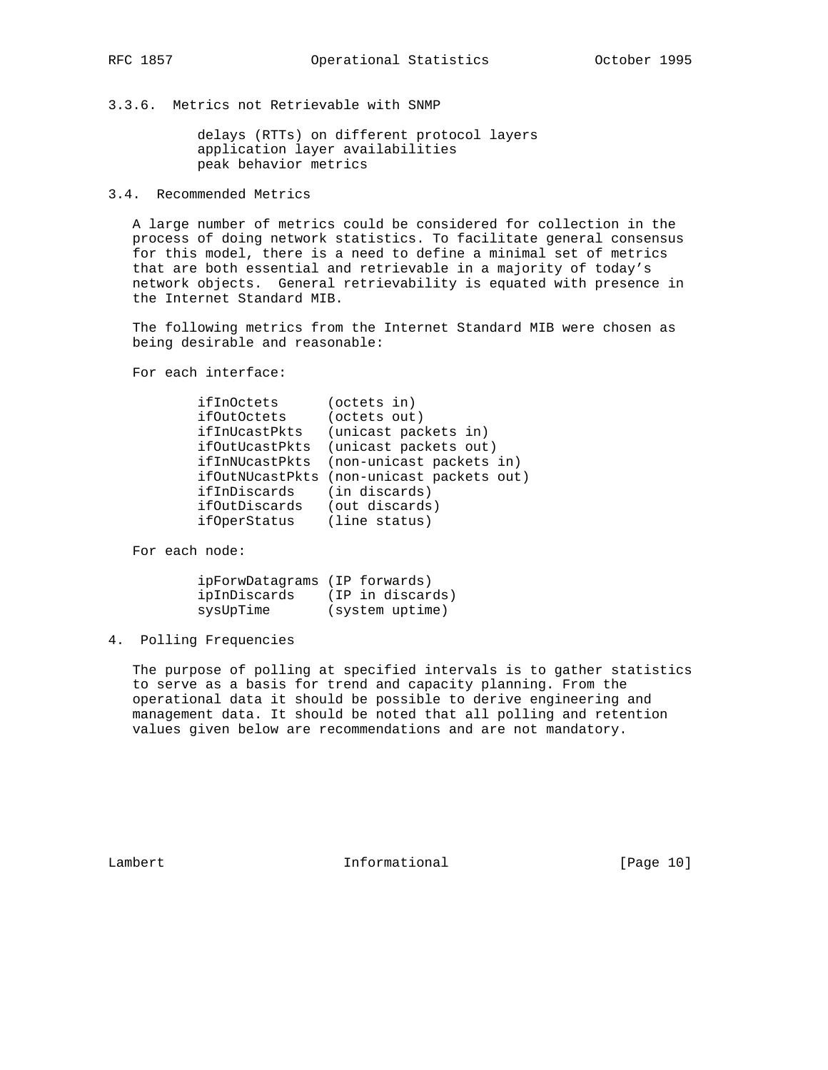3.3.6. Metrics not Retrievable with SNMP

 delays (RTTs) on different protocol layers application layer availabilities peak behavior metrics

3.4. Recommended Metrics

 A large number of metrics could be considered for collection in the process of doing network statistics. To facilitate general consensus for this model, there is a need to define a minimal set of metrics that are both essential and retrievable in a majority of today's network objects. General retrievability is equated with presence in the Internet Standard MIB.

 The following metrics from the Internet Standard MIB were chosen as being desirable and reasonable:

For each interface:

| (octets in)                               |
|-------------------------------------------|
| (octets out)                              |
| (unicast packets in)                      |
| (unicast packets out)                     |
| (non-unicast packets in)                  |
| ifOutNUcastPkts (non-unicast packets out) |
| (in discards)                             |
| (out discards)                            |
| (line status)                             |
|                                           |

For each node:

| ipForwDatagrams (IP forwards) |                  |
|-------------------------------|------------------|
| ipInDiscards                  | (IP in discards) |
| sysUpTime                     | (system uptime)  |

4. Polling Frequencies

 The purpose of polling at specified intervals is to gather statistics to serve as a basis for trend and capacity planning. From the operational data it should be possible to derive engineering and management data. It should be noted that all polling and retention values given below are recommendations and are not mandatory.

Lambert 1nformational [Page 10]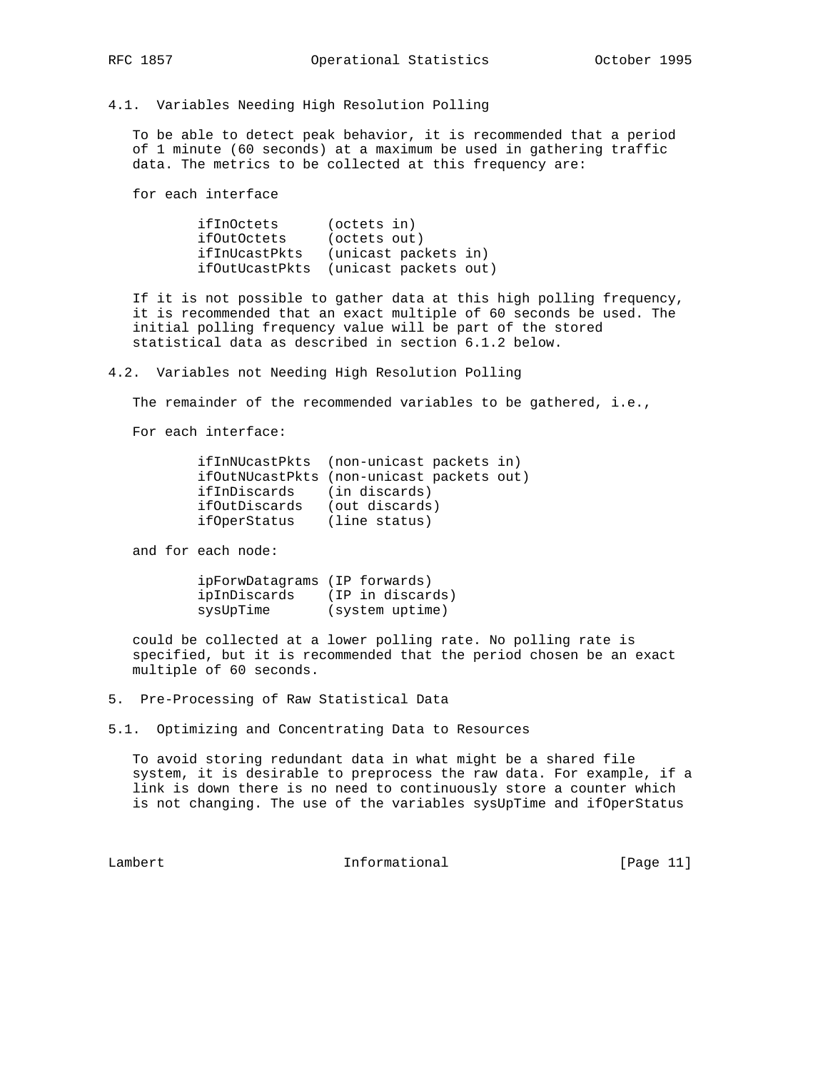4.1. Variables Needing High Resolution Polling

 To be able to detect peak behavior, it is recommended that a period of 1 minute (60 seconds) at a maximum be used in gathering traffic data. The metrics to be collected at this frequency are:

for each interface

 ifInOctets (octets in) ifOutOctets (octets out) ifInUcastPkts (unicast packets in) ifOutUcastPkts (unicast packets out)

 If it is not possible to gather data at this high polling frequency, it is recommended that an exact multiple of 60 seconds be used. The initial polling frequency value will be part of the stored statistical data as described in section 6.1.2 below.

4.2. Variables not Needing High Resolution Polling

The remainder of the recommended variables to be gathered, i.e.,

For each interface:

|               | ifInNUcastPkts (non-unicast packets in)   |
|---------------|-------------------------------------------|
|               | ifOutNUcastPkts (non-unicast packets out) |
| ifInDiscards  | (in discards)                             |
| ifOutDiscards | (out discards)                            |
| ifOperStatus  | (line status)                             |

and for each node:

| ipForwDatagrams (IP forwards) |                  |
|-------------------------------|------------------|
| ipInDiscards                  | (IP in discards) |
| sysUpTime                     | (system uptime)  |

 could be collected at a lower polling rate. No polling rate is specified, but it is recommended that the period chosen be an exact multiple of 60 seconds.

5. Pre-Processing of Raw Statistical Data

5.1. Optimizing and Concentrating Data to Resources

 To avoid storing redundant data in what might be a shared file system, it is desirable to preprocess the raw data. For example, if a link is down there is no need to continuously store a counter which is not changing. The use of the variables sysUpTime and ifOperStatus

Lambert 1nformational [Page 11]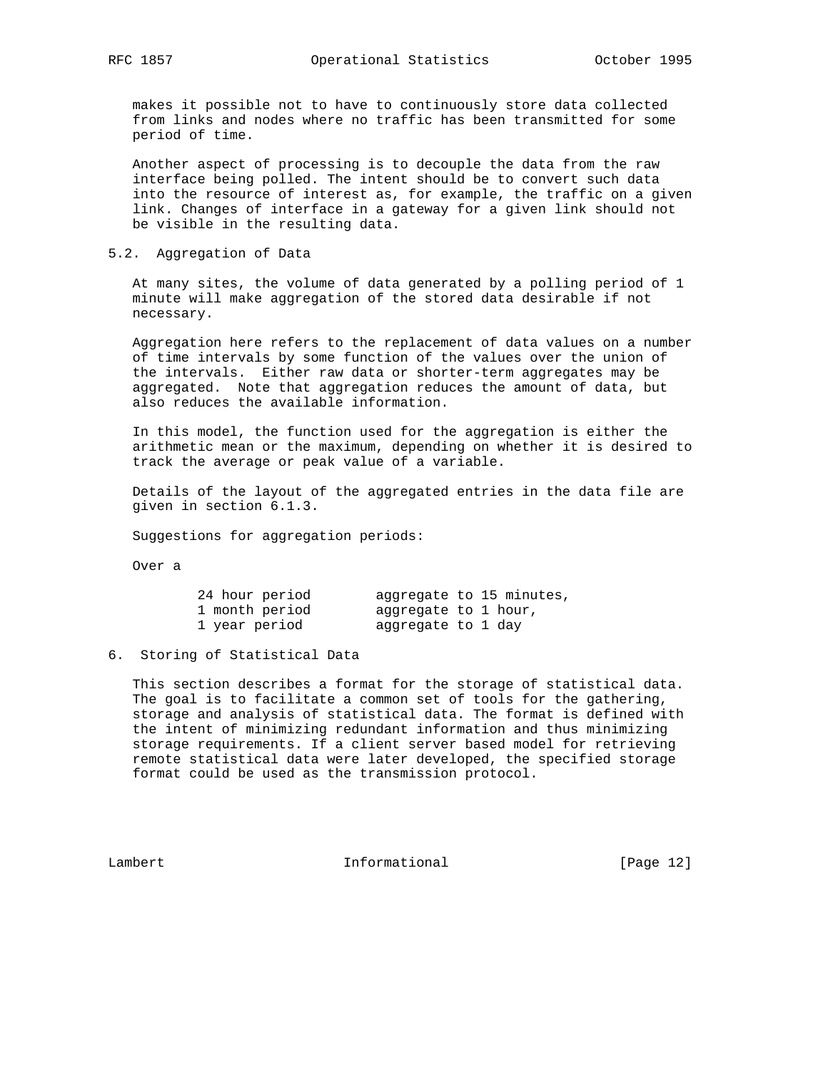makes it possible not to have to continuously store data collected from links and nodes where no traffic has been transmitted for some period of time.

 Another aspect of processing is to decouple the data from the raw interface being polled. The intent should be to convert such data into the resource of interest as, for example, the traffic on a given link. Changes of interface in a gateway for a given link should not be visible in the resulting data.

# 5.2. Aggregation of Data

 At many sites, the volume of data generated by a polling period of 1 minute will make aggregation of the stored data desirable if not necessary.

 Aggregation here refers to the replacement of data values on a number of time intervals by some function of the values over the union of the intervals. Either raw data or shorter-term aggregates may be aggregated. Note that aggregation reduces the amount of data, but also reduces the available information.

 In this model, the function used for the aggregation is either the arithmetic mean or the maximum, depending on whether it is desired to track the average or peak value of a variable.

 Details of the layout of the aggregated entries in the data file are given in section 6.1.3.

Suggestions for aggregation periods:

Over a

| 24 hour period |                      | aggregate to 15 minutes, |
|----------------|----------------------|--------------------------|
| 1 month period | aggregate to 1 hour, |                          |
| 1 year period  | aggregate to 1 day   |                          |

## 6. Storing of Statistical Data

 This section describes a format for the storage of statistical data. The goal is to facilitate a common set of tools for the gathering, storage and analysis of statistical data. The format is defined with the intent of minimizing redundant information and thus minimizing storage requirements. If a client server based model for retrieving remote statistical data were later developed, the specified storage format could be used as the transmission protocol.

Lambert 1nformational [Page 12]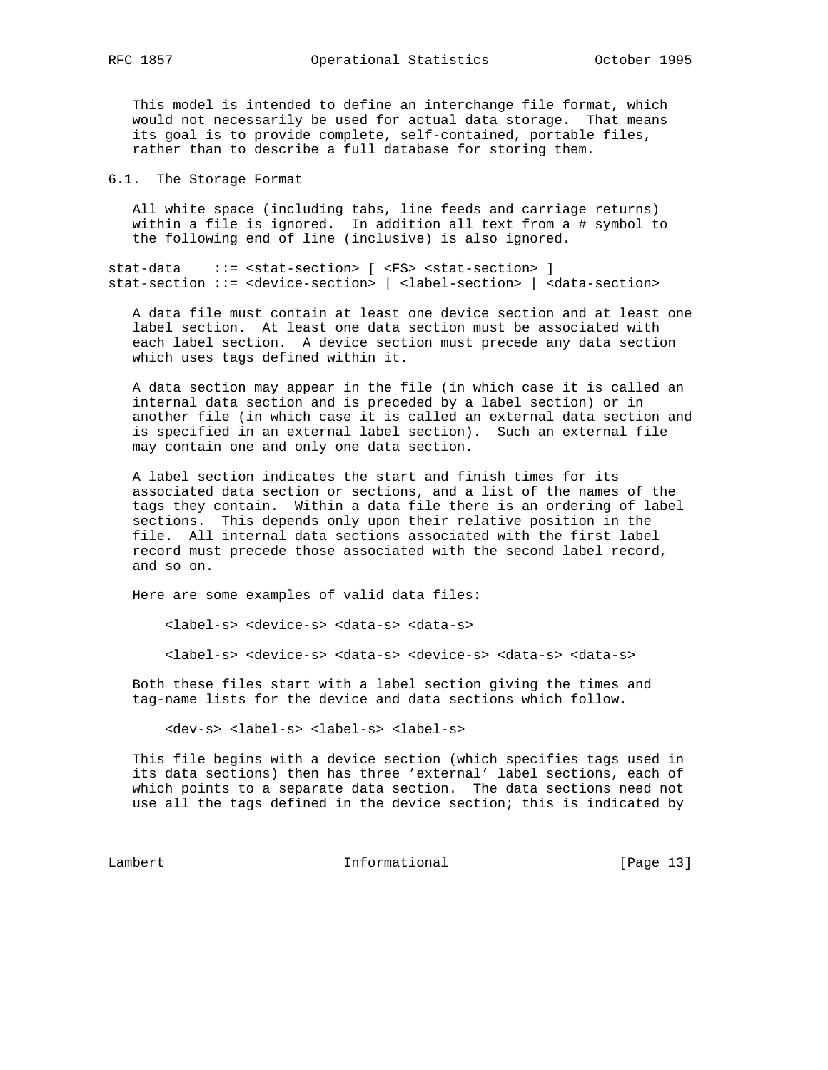This model is intended to define an interchange file format, which would not necessarily be used for actual data storage. That means its goal is to provide complete, self-contained, portable files, rather than to describe a full database for storing them.

6.1. The Storage Format

 All white space (including tabs, line feeds and carriage returns) within a file is ignored. In addition all text from a # symbol to the following end of line (inclusive) is also ignored.

stat-data ::= <stat-section> [ <FS> <stat-section> ] stat-section ::= <device-section> | <label-section> | <data-section>

 A data file must contain at least one device section and at least one label section. At least one data section must be associated with each label section. A device section must precede any data section which uses tags defined within it.

 A data section may appear in the file (in which case it is called an internal data section and is preceded by a label section) or in another file (in which case it is called an external data section and is specified in an external label section). Such an external file may contain one and only one data section.

 A label section indicates the start and finish times for its associated data section or sections, and a list of the names of the tags they contain. Within a data file there is an ordering of label sections. This depends only upon their relative position in the file. All internal data sections associated with the first label record must precede those associated with the second label record, and so on.

Here are some examples of valid data files:

<label-s> <device-s> <data-s> <data-s>

<label-s> <device-s> <data-s> <device-s> <data-s> <data-s>

 Both these files start with a label section giving the times and tag-name lists for the device and data sections which follow.

<dev-s> <label-s> <label-s> <label-s>

 This file begins with a device section (which specifies tags used in its data sections) then has three 'external' label sections, each of which points to a separate data section. The data sections need not use all the tags defined in the device section; this is indicated by

Lambert Informational [Page 13]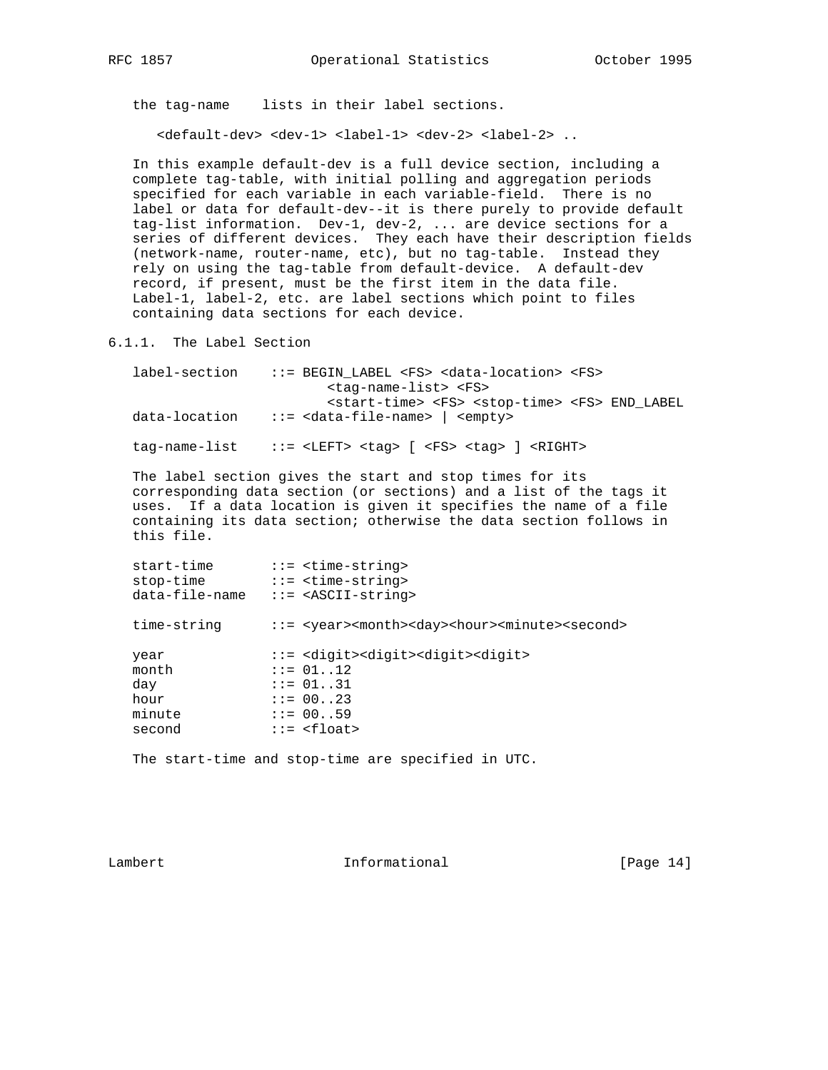the tag-name lists in their label sections.

<default-dev> <dev-1> <label-1> <dev-2> <label-2> ..

 In this example default-dev is a full device section, including a complete tag-table, with initial polling and aggregation periods specified for each variable in each variable-field. There is no label or data for default-dev--it is there purely to provide default tag-list information. Dev-1, dev-2, ... are device sections for a series of different devices. They each have their description fields (network-name, router-name, etc), but no tag-table. Instead they rely on using the tag-table from default-device. A default-dev record, if present, must be the first item in the data file. Label-1, label-2, etc. are label sections which point to files containing data sections for each device.

6.1.1. The Label Section

| label-section | ::= BEGIN LABEL <fs> <data-location> <fs></fs></data-location></fs>                     |
|---------------|-----------------------------------------------------------------------------------------|
|               | <taq-name-list> <fs></fs></taq-name-list>                                               |
|               | <start-time> <fs> <stop-time> <fs> END_LABEL</fs></stop-time></fs></start-time>         |
| data-location | $::=$ <data-file-name> <math> </math> <empty></empty></data-file-name>                  |
|               | $tag-name-list$ ::= <left> <taq> [ <fs> <taq> ] <right></right></taq></fs></taq></left> |

 The label section gives the start and stop times for its corresponding data section (or sections) and a list of the tags it uses. If a data location is given it specifies the name of a file containing its data section; otherwise the data section follows in this file.

 start-time ::= <time-string> stop-time ::= <time-string> data-file-name ::= <ASCII-string> time-string ::= <year><month><day><hour><minute><second> year ::= <digit><digit><digit><digit> month ::= 01..12  $::= 01..12$ day ::= 01..31 hour ::= 00..23<br>minute ::= 00..59  $::= 00..59$ second ::= <float>

The start-time and stop-time are specified in UTC.

Lambert 1nformational [Page 14]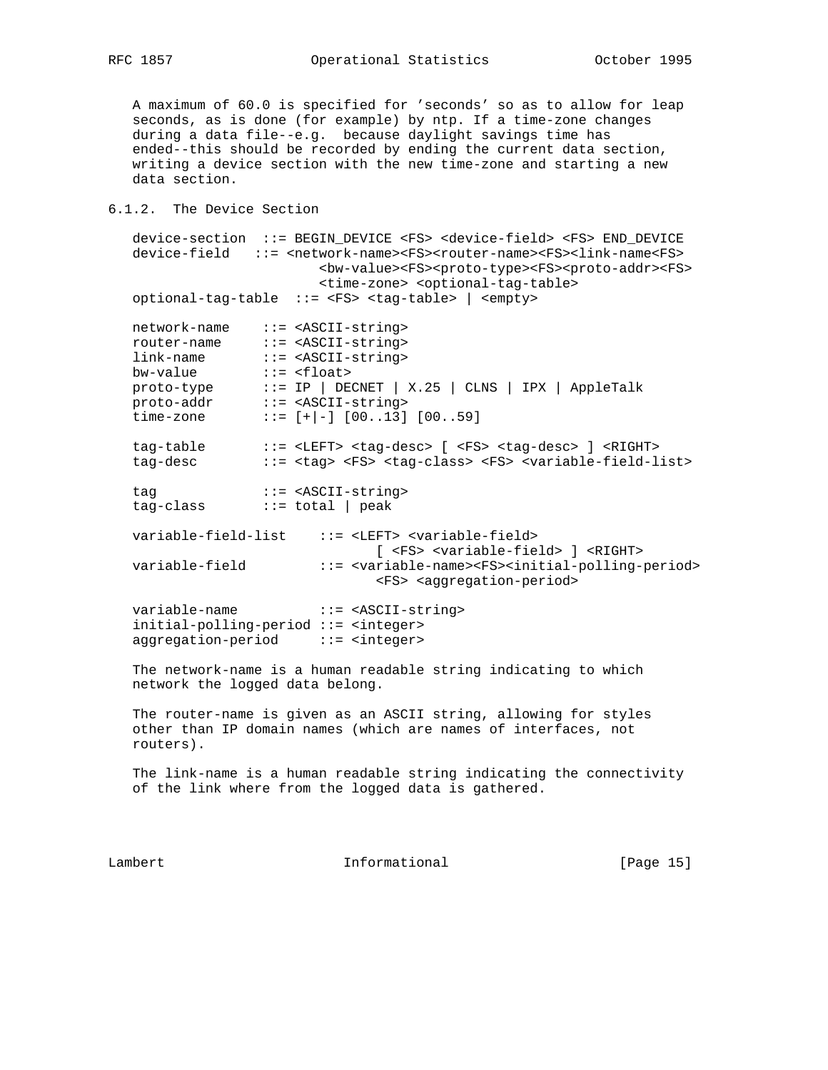A maximum of 60.0 is specified for 'seconds' so as to allow for leap seconds, as is done (for example) by ntp. If a time-zone changes during a data file--e.g. because daylight savings time has ended--this should be recorded by ending the current data section, writing a device section with the new time-zone and starting a new data section.

# 6.1.2. The Device Section

 device-section ::= BEGIN\_DEVICE <FS> <device-field> <FS> END\_DEVICE device-field ::= <network-name><FS><router-name><FS><link-name<FS> <bw-value><FS><proto-type><FS><proto-addr><FS> <time-zone> <optional-tag-table> optional-tag-table ::= <FS> <tag-table> | <empty> network-name ::= <ASCII-string> router-name ::= <ASCII-string> link-name ::= <ASCII-string> bw-value ::= <float> proto-type ::= IP | DECNET | X.25 | CLNS | IPX | AppleTalk proto-addr ::= <ASCII-string> time-zone  $:=[+]-]$  [00..13] [00..59] tag-table ::= <LEFT> <tag-desc> [ <FS> <tag-desc> ] <RIGHT> tag-desc ::= <tag> <FS> <tag-class> <FS> <variable-field-list> tag ::= <ASCII-string> tag-class ::= total | peak variable-field-list ::= <LEFT> <variable-field> [ <FS> <variable-field> ] <RIGHT> variable-field ::= <variable-name><FS><initial-polling-period> <FS> <aggregation-period> variable-name ::= <ASCII-string> initial-polling-period ::= <integer> aggregation-period ::= <integer> The network-name is a human readable string indicating to which network the logged data belong. The router-name is given as an ASCII string, allowing for styles other than IP domain names (which are names of interfaces, not routers). The link-name is a human readable string indicating the connectivity of the link where from the logged data is gathered.

Lambert 1nformational [Page 15]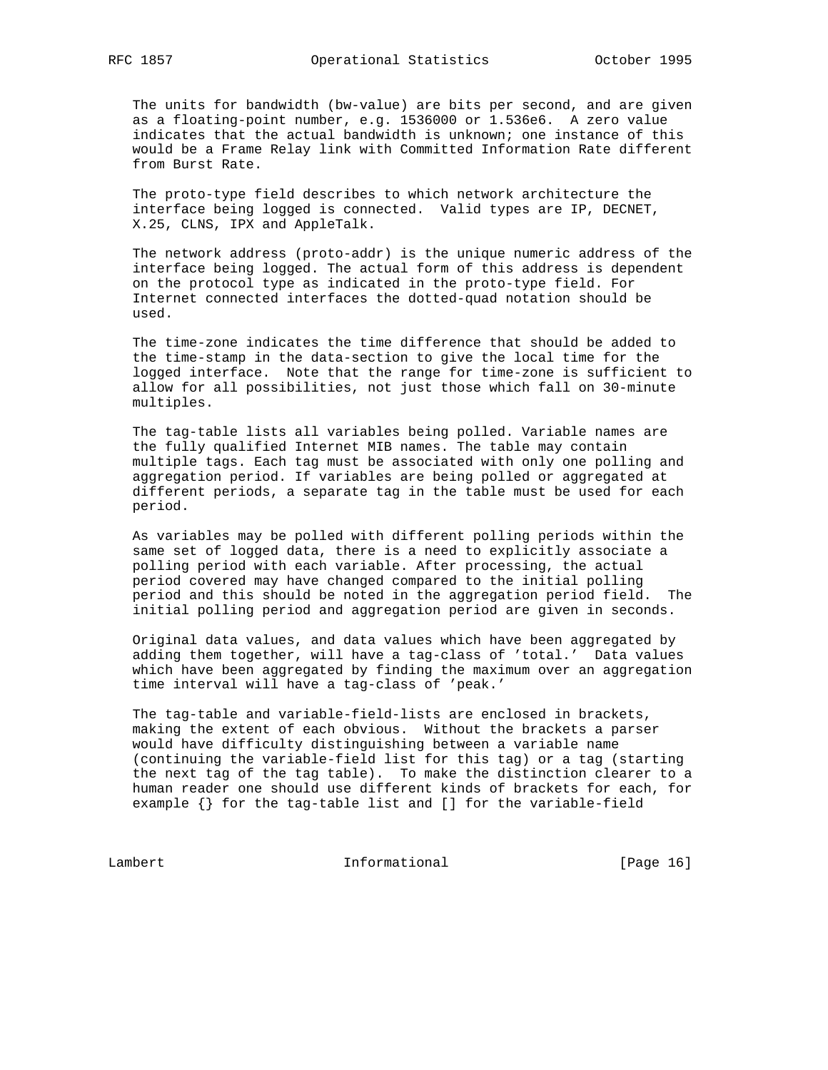The units for bandwidth (bw-value) are bits per second, and are given as a floating-point number, e.g. 1536000 or 1.536e6. A zero value indicates that the actual bandwidth is unknown; one instance of this would be a Frame Relay link with Committed Information Rate different from Burst Rate.

 The proto-type field describes to which network architecture the interface being logged is connected. Valid types are IP, DECNET, X.25, CLNS, IPX and AppleTalk.

 The network address (proto-addr) is the unique numeric address of the interface being logged. The actual form of this address is dependent on the protocol type as indicated in the proto-type field. For Internet connected interfaces the dotted-quad notation should be used.

 The time-zone indicates the time difference that should be added to the time-stamp in the data-section to give the local time for the logged interface. Note that the range for time-zone is sufficient to allow for all possibilities, not just those which fall on 30-minute multiples.

 The tag-table lists all variables being polled. Variable names are the fully qualified Internet MIB names. The table may contain multiple tags. Each tag must be associated with only one polling and aggregation period. If variables are being polled or aggregated at different periods, a separate tag in the table must be used for each period.

 As variables may be polled with different polling periods within the same set of logged data, there is a need to explicitly associate a polling period with each variable. After processing, the actual period covered may have changed compared to the initial polling period and this should be noted in the aggregation period field. The initial polling period and aggregation period are given in seconds.

 Original data values, and data values which have been aggregated by adding them together, will have a tag-class of 'total.' Data values which have been aggregated by finding the maximum over an aggregation time interval will have a tag-class of 'peak.'

 The tag-table and variable-field-lists are enclosed in brackets, making the extent of each obvious. Without the brackets a parser would have difficulty distinguishing between a variable name (continuing the variable-field list for this tag) or a tag (starting the next tag of the tag table). To make the distinction clearer to a human reader one should use different kinds of brackets for each, for example {} for the tag-table list and [] for the variable-field

Lambert 1nformational [Page 16]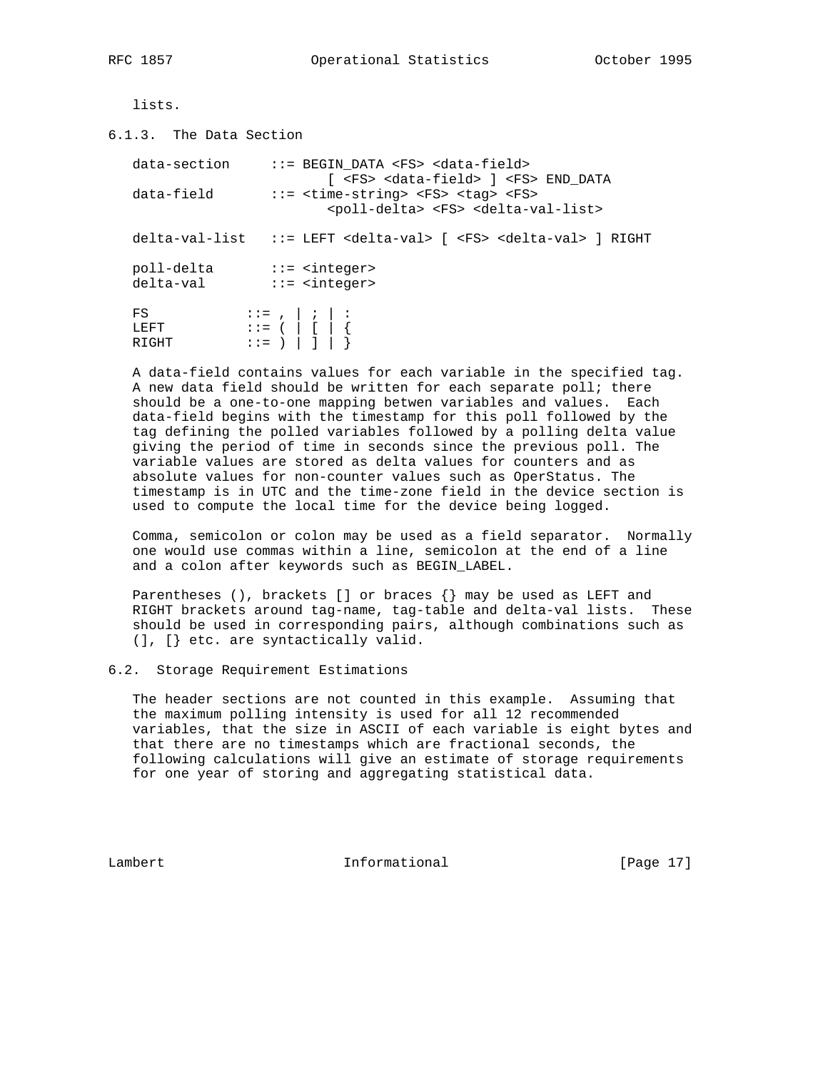lists.

6.1.3. The Data Section

| data-section            | ::= BEGIN DATA <fs> <data-field><br/>[ <fs> <data-field> ] <fs> END DATA</fs></data-field></fs></data-field></fs>                           |
|-------------------------|---------------------------------------------------------------------------------------------------------------------------------------------|
| data-field              | $::=$ <time-string> <fs> <tag> <fs><br/><poll-delta> <fs> <delta-val-list></delta-val-list></fs></poll-delta></fs></tag></fs></time-string> |
|                         | $delta-valuelist$ ::= LEFT <delta-val> [ <fs> <delta-val> ] RIGHT</delta-val></fs></delta-val>                                              |
| poll-delta<br>delta-val | $::=$ <integer><br/><math>::=</math> <integer></integer></integer>                                                                          |
| FS<br>T.E.F.T<br>RIGHT  |                                                                                                                                             |

 A data-field contains values for each variable in the specified tag. A new data field should be written for each separate poll; there should be a one-to-one mapping betwen variables and values. Each data-field begins with the timestamp for this poll followed by the tag defining the polled variables followed by a polling delta value giving the period of time in seconds since the previous poll. The variable values are stored as delta values for counters and as absolute values for non-counter values such as OperStatus. The timestamp is in UTC and the time-zone field in the device section is used to compute the local time for the device being logged.

 Comma, semicolon or colon may be used as a field separator. Normally one would use commas within a line, semicolon at the end of a line and a colon after keywords such as BEGIN\_LABEL.

Parentheses (), brackets [] or braces  $\{\}$  may be used as LEFT and RIGHT brackets around tag-name, tag-table and delta-val lists. These should be used in corresponding pairs, although combinations such as (], [} etc. are syntactically valid.

6.2. Storage Requirement Estimations

 The header sections are not counted in this example. Assuming that the maximum polling intensity is used for all 12 recommended variables, that the size in ASCII of each variable is eight bytes and that there are no timestamps which are fractional seconds, the following calculations will give an estimate of storage requirements for one year of storing and aggregating statistical data.

Lambert 1nformational [Page 17]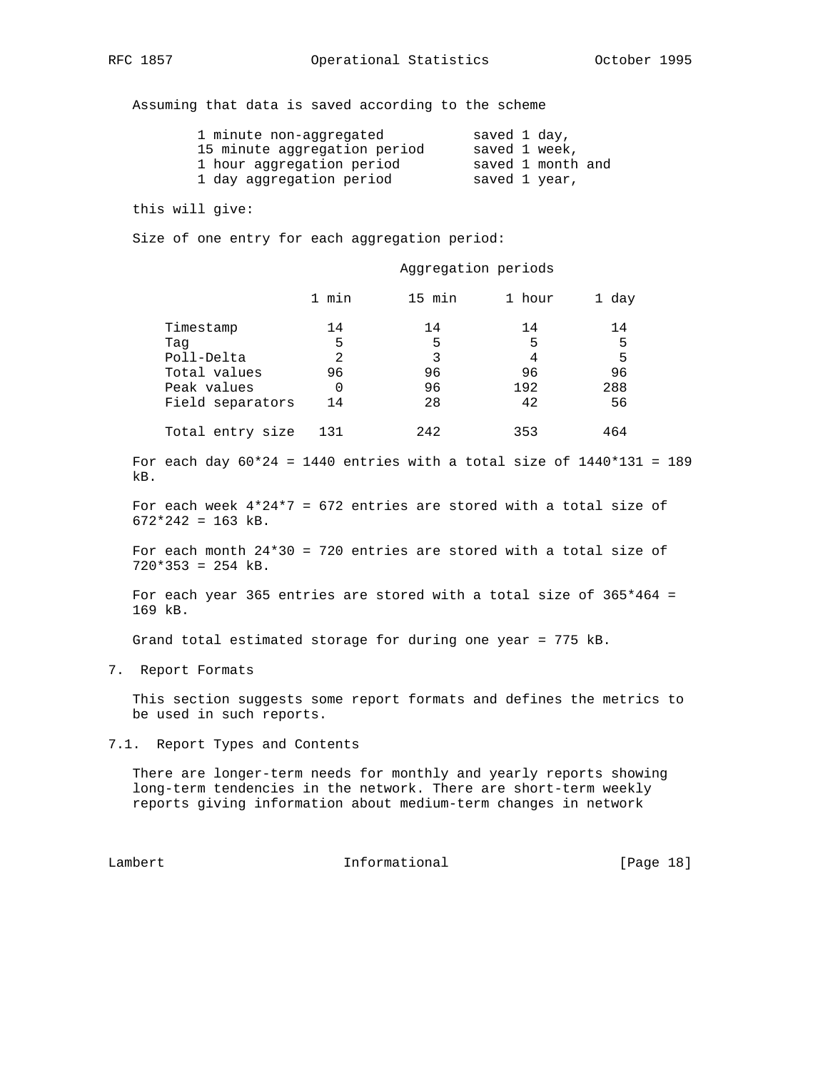Assuming that data is saved according to the scheme

| 1 minute non-aggregated      | saved 1 day,      |
|------------------------------|-------------------|
| 15 minute aggregation period | saved 1 week,     |
| 1 hour aggregation period    | saved 1 month and |
| 1 day aggregation period     | saved 1 year,     |

this will give:

Size of one entry for each aggregation period:

Aggregation periods

|                  | min<br>1 | 15 min | 1 hour | 1 day |
|------------------|----------|--------|--------|-------|
| Timestamp        | 14       | 14     | 14     | 14    |
| Taq              | 5        | 5      | 5      | 5     |
| Poll-Delta       | 2        | 3      | 4      | 5     |
| Total values     | 96       | 96     | 96     | 96    |
| Peak values      | 0        | 96     | 192    | 288   |
| Field separators | 14       | 28     | 42     | 56    |
| Total entry size | 131      | 2.42   | 353    | 464   |

For each day  $60*24 = 1440$  entries with a total size of  $1440*131 = 189$ kB.

 For each week 4\*24\*7 = 672 entries are stored with a total size of  $672*242 = 163$  kB.

 For each month 24\*30 = 720 entries are stored with a total size of  $720*353 = 254$  kB.

 For each year 365 entries are stored with a total size of 365\*464 = 169 kB.

Grand total estimated storage for during one year = 775 kB.

7. Report Formats

 This section suggests some report formats and defines the metrics to be used in such reports.

7.1. Report Types and Contents

 There are longer-term needs for monthly and yearly reports showing long-term tendencies in the network. There are short-term weekly reports giving information about medium-term changes in network

Lambert Informational [Page 18]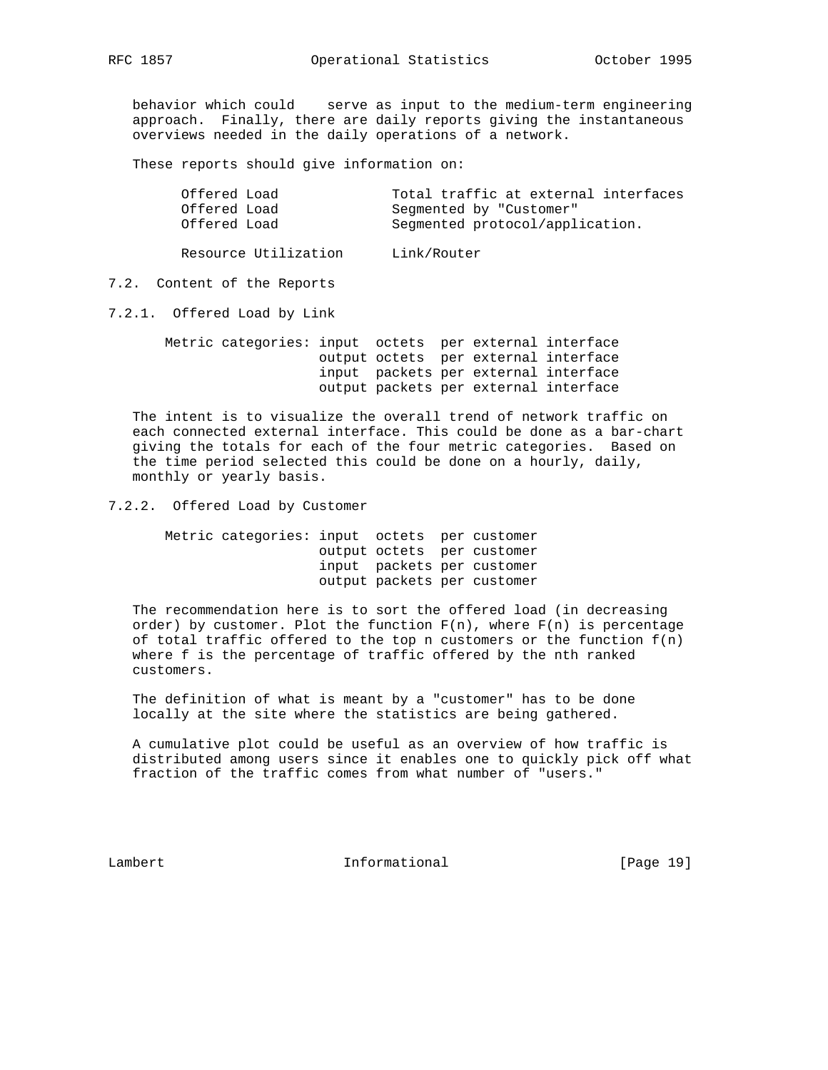behavior which could serve as input to the medium-term engineering approach. Finally, there are daily reports giving the instantaneous overviews needed in the daily operations of a network.

These reports should give information on:

| Offered Load | Total traffic at external interfaces |
|--------------|--------------------------------------|
| Offered Load | Segmented by "Customer"              |
| Offered Load | Seqmented protocol/application.      |

Resource Utilization Link/Router

# 7.2. Content of the Reports

7.2.1. Offered Load by Link

 Metric categories: input octets per external interface output octets per external interface input packets per external interface output packets per external interface

 The intent is to visualize the overall trend of network traffic on each connected external interface. This could be done as a bar-chart giving the totals for each of the four metric categories. Based on the time period selected this could be done on a hourly, daily, monthly or yearly basis.

# 7.2.2. Offered Load by Customer

 Metric categories: input octets per customer output octets per customer input packets per customer output packets per customer

 The recommendation here is to sort the offered load (in decreasing order) by customer. Plot the function  $F(n)$ , where  $F(n)$  is percentage of total traffic offered to the top n customers or the function  $f(n)$  where f is the percentage of traffic offered by the nth ranked customers.

 The definition of what is meant by a "customer" has to be done locally at the site where the statistics are being gathered.

 A cumulative plot could be useful as an overview of how traffic is distributed among users since it enables one to quickly pick off what fraction of the traffic comes from what number of "users."

Lambert 1nformational [Page 19]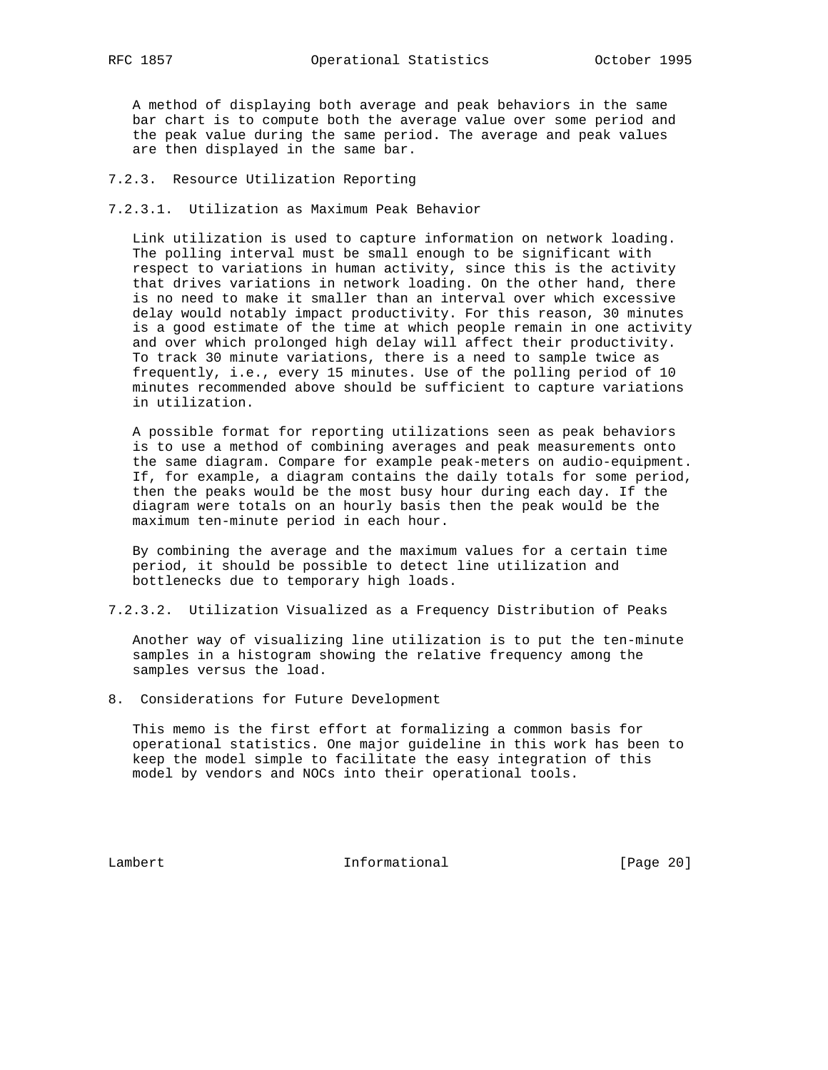A method of displaying both average and peak behaviors in the same bar chart is to compute both the average value over some period and the peak value during the same period. The average and peak values are then displayed in the same bar.

- 7.2.3. Resource Utilization Reporting
- 7.2.3.1. Utilization as Maximum Peak Behavior

 Link utilization is used to capture information on network loading. The polling interval must be small enough to be significant with respect to variations in human activity, since this is the activity that drives variations in network loading. On the other hand, there is no need to make it smaller than an interval over which excessive delay would notably impact productivity. For this reason, 30 minutes is a good estimate of the time at which people remain in one activity and over which prolonged high delay will affect their productivity. To track 30 minute variations, there is a need to sample twice as frequently, i.e., every 15 minutes. Use of the polling period of 10 minutes recommended above should be sufficient to capture variations in utilization.

 A possible format for reporting utilizations seen as peak behaviors is to use a method of combining averages and peak measurements onto the same diagram. Compare for example peak-meters on audio-equipment. If, for example, a diagram contains the daily totals for some period, then the peaks would be the most busy hour during each day. If the diagram were totals on an hourly basis then the peak would be the maximum ten-minute period in each hour.

 By combining the average and the maximum values for a certain time period, it should be possible to detect line utilization and bottlenecks due to temporary high loads.

7.2.3.2. Utilization Visualized as a Frequency Distribution of Peaks

 Another way of visualizing line utilization is to put the ten-minute samples in a histogram showing the relative frequency among the samples versus the load.

8. Considerations for Future Development

 This memo is the first effort at formalizing a common basis for operational statistics. One major guideline in this work has been to keep the model simple to facilitate the easy integration of this model by vendors and NOCs into their operational tools.

Lambert 1nformational [Page 20]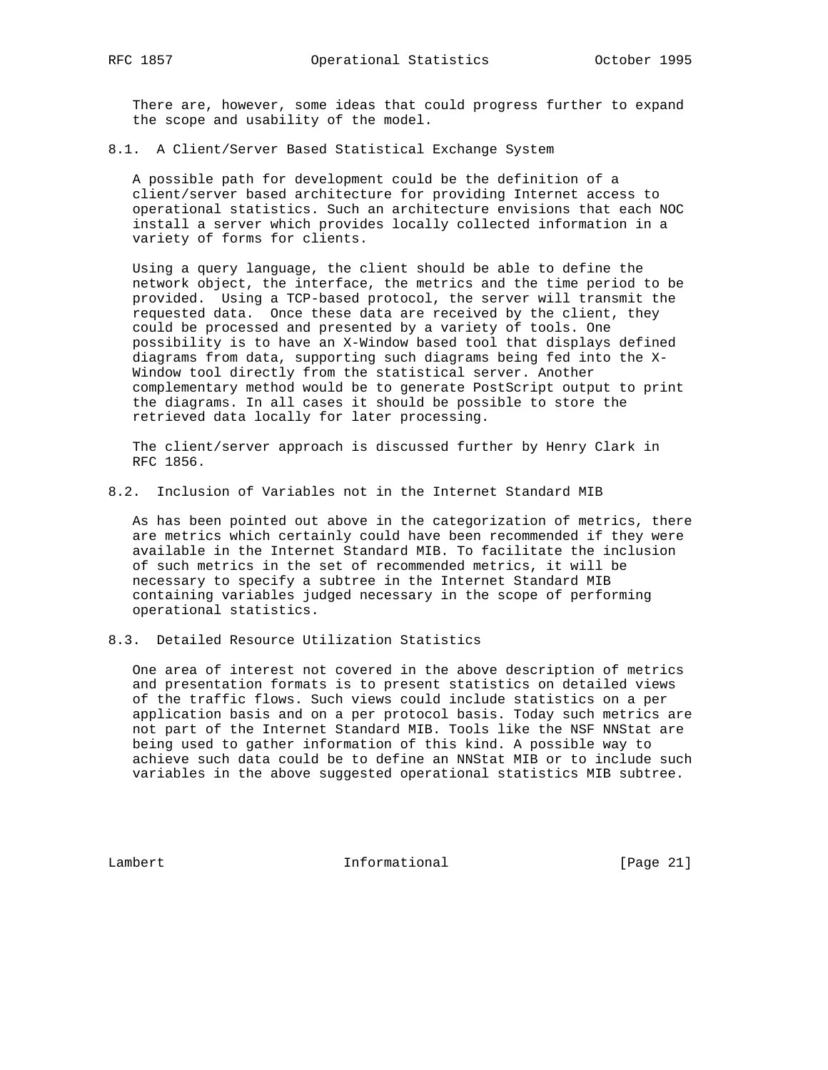There are, however, some ideas that could progress further to expand the scope and usability of the model.

8.1. A Client/Server Based Statistical Exchange System

 A possible path for development could be the definition of a client/server based architecture for providing Internet access to operational statistics. Such an architecture envisions that each NOC install a server which provides locally collected information in a variety of forms for clients.

 Using a query language, the client should be able to define the network object, the interface, the metrics and the time period to be provided. Using a TCP-based protocol, the server will transmit the requested data. Once these data are received by the client, they could be processed and presented by a variety of tools. One possibility is to have an X-Window based tool that displays defined diagrams from data, supporting such diagrams being fed into the X- Window tool directly from the statistical server. Another complementary method would be to generate PostScript output to print the diagrams. In all cases it should be possible to store the retrieved data locally for later processing.

 The client/server approach is discussed further by Henry Clark in RFC 1856.

8.2. Inclusion of Variables not in the Internet Standard MIB

 As has been pointed out above in the categorization of metrics, there are metrics which certainly could have been recommended if they were available in the Internet Standard MIB. To facilitate the inclusion of such metrics in the set of recommended metrics, it will be necessary to specify a subtree in the Internet Standard MIB containing variables judged necessary in the scope of performing operational statistics.

8.3. Detailed Resource Utilization Statistics

 One area of interest not covered in the above description of metrics and presentation formats is to present statistics on detailed views of the traffic flows. Such views could include statistics on a per application basis and on a per protocol basis. Today such metrics are not part of the Internet Standard MIB. Tools like the NSF NNStat are being used to gather information of this kind. A possible way to achieve such data could be to define an NNStat MIB or to include such variables in the above suggested operational statistics MIB subtree.

Lambert 1nformational [Page 21]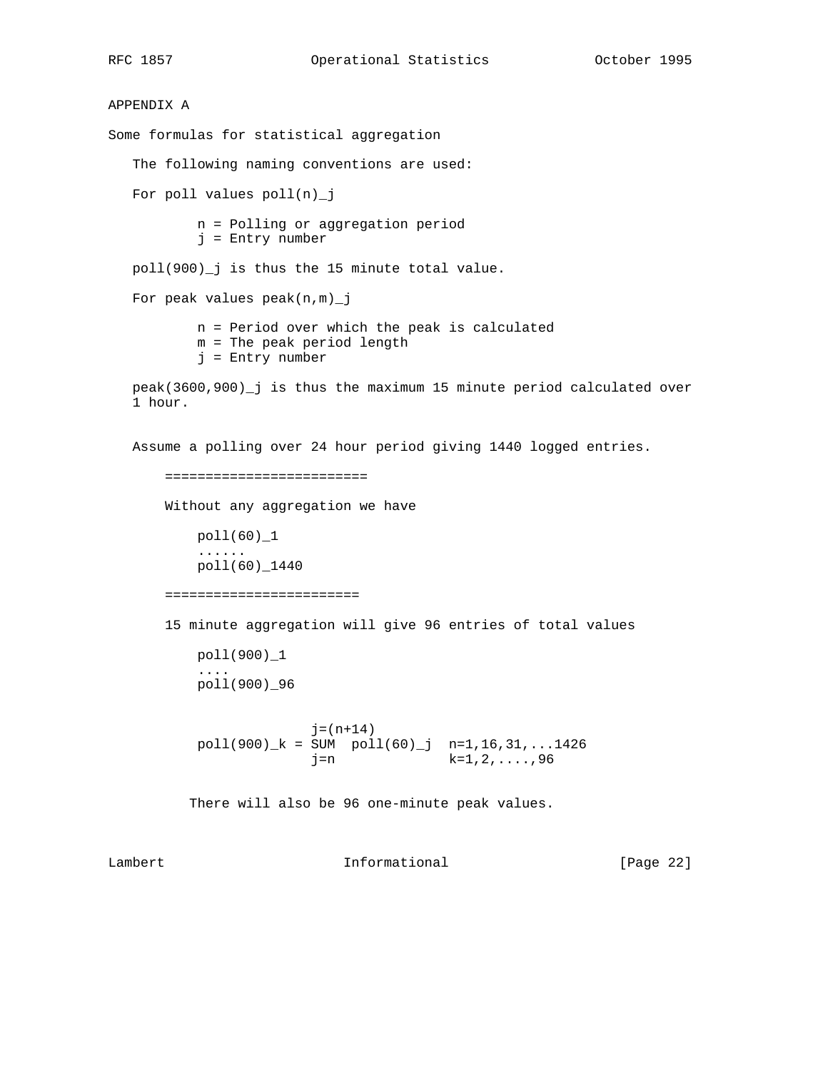APPENDIX A Some formulas for statistical aggregation The following naming conventions are used: For poll values poll(n)\_j n = Polling or aggregation period j = Entry number poll(900)\_j is thus the 15 minute total value. For peak values peak(n,m)\_j n = Period over which the peak is calculated m = The peak period length j = Entry number peak(3600,900)\_j is thus the maximum 15 minute period calculated over 1 hour. Assume a polling over 24 hour period giving 1440 logged entries. ========================= Without any aggregation we have poll(60)\_1 ...... poll(60)\_1440 ======================== 15 minute aggregation will give 96 entries of total values poll(900)\_1 .... poll(900)\_96  $j = (n+14)$  $poll(900)_k = SUM \cdot pol1(60)_j \cdot n=1,16,31,...1426$  $j=n$  k=1,2,....,96 There will also be 96 one-minute peak values. Lambert 1nformational [Page 22]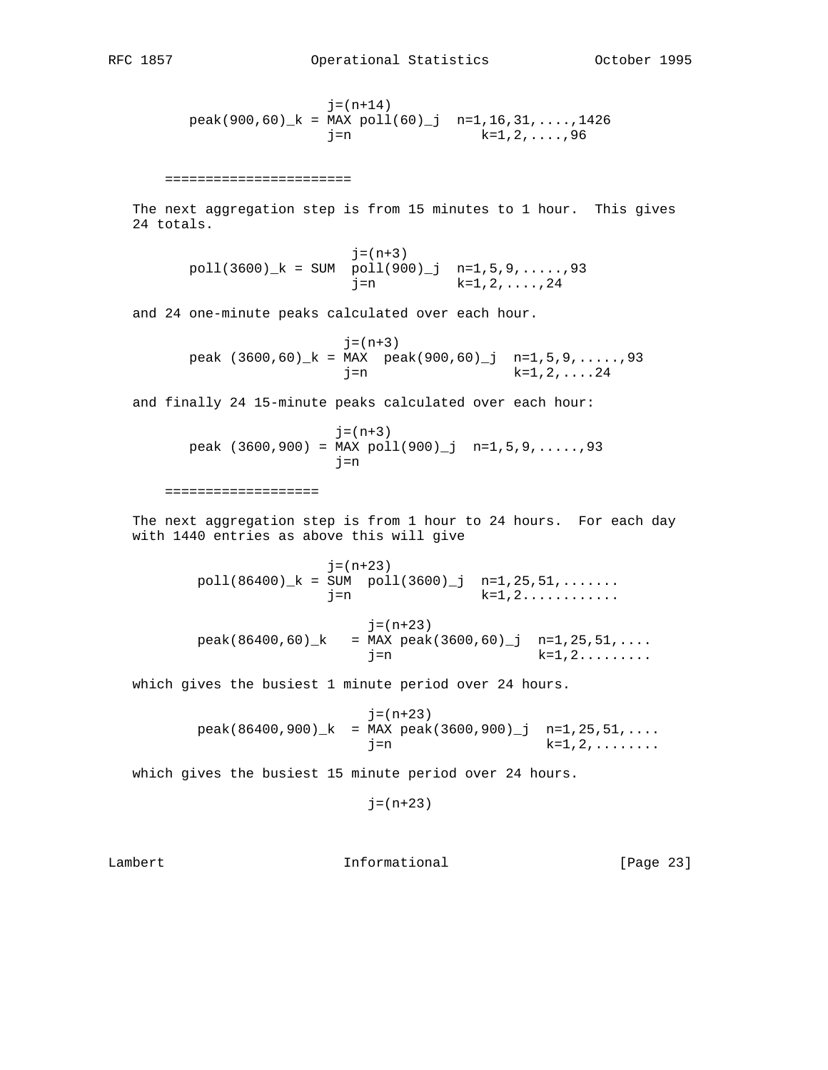$j = (n+14)$  $peak(900,60)$ <sub>k</sub> = MAX  $pol1(60)$ <sup>j</sup> n=1,16,31,....,1426  $j=n$  k=1,2,....,96 ======================= The next aggregation step is from 15 minutes to 1 hour. This gives 24 totals.  $j = (n+3)$  $poll(3600)_k = SUM \cdot poll(900)_j \cdot n=1,5,9,......,93$  $j=n$  k=1,2, ...., 24 and 24 one-minute peaks calculated over each hour. j=(n+3) peak  $(3600, 60)$   $k = MAX$  peak $(900, 60)$   $j = n=1, 5, 9, \ldots$ ..... j=n k=1,2,....24 and finally 24 15-minute peaks calculated over each hour:  $j = (n+3)$ peak  $(3600, 900) = MAX$  poll $(900)$  j n=1,5,9,.....,93 j=n =================== The next aggregation step is from 1 hour to 24 hours. For each day with 1440 entries as above this will give j=(n+23)  $poll(86400)_k = \overline{SUM} \quad poll(3600)_j \quad n=1,25,51,\ldots$  $j=n$  k=1,2...........  $j=(n+23)$  $peak(86400, 60)$ <sub>k</sub> = MAX  $peak(3600, 60)$ <sup>1</sup> n=1,25,51,....  $j=n$  k=1,2........ which gives the busiest 1 minute period over 24 hours. j=(n+23)  $peak(86400,900)$ <sub>k</sub> = MAX  $peak(3600,900)$ <sup>1</sup> n=1,25,51,...  $j=n$  k=1,2,....... which gives the busiest 15 minute period over 24 hours.  $j = (n+23)$ 

Lambert 1nformational [Page 23]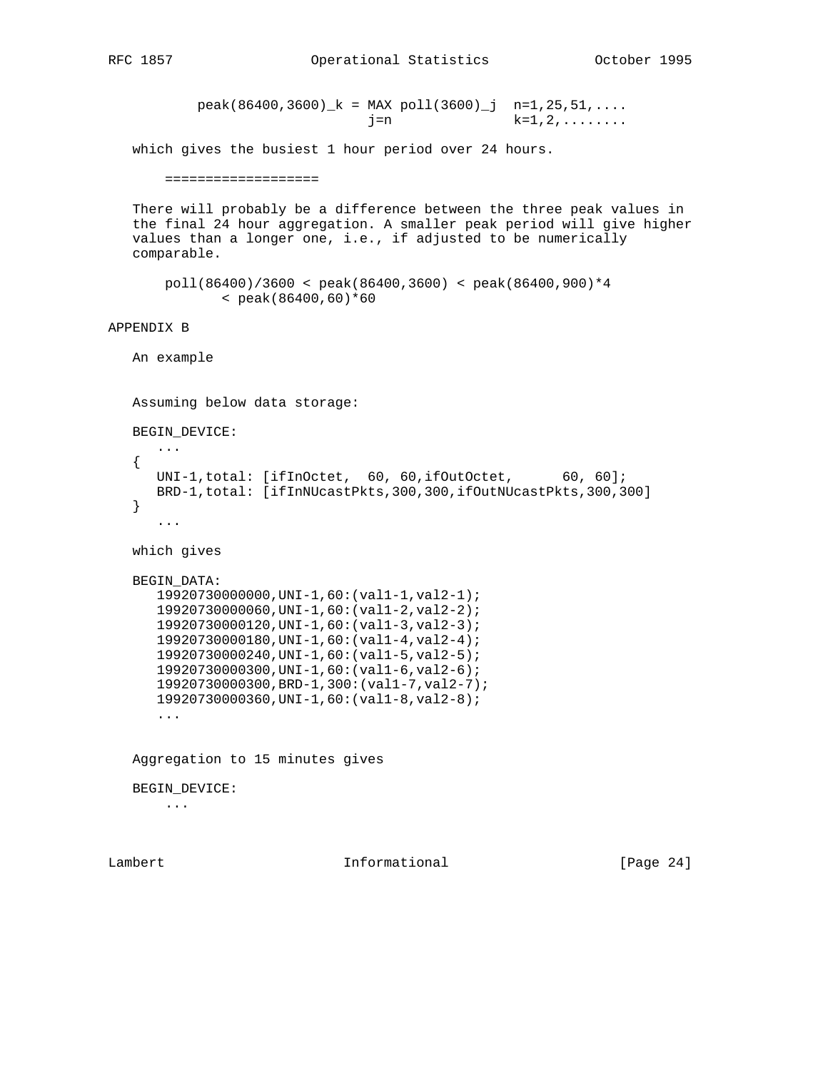```
peak(86400,3600)<sub>k</sub> = MAX pol(3600)<sup>j</sup> n=1,25,51,....
                     j=n k=1,2,.......
```
which gives the busiest 1 hour period over 24 hours.

#### ===================

 There will probably be a difference between the three peak values in the final 24 hour aggregation. A smaller peak period will give higher values than a longer one, i.e., if adjusted to be numerically comparable.

```
 poll(86400)/3600 < peak(86400,3600) < peak(86400,900)*4
     < peak(86400,60)*60
```
# APPENDIX B

An example

Assuming below data storage:

BEGIN\_DEVICE:

```
 ...
{
 UNI-1,total: [ifInOctet, 60, 60,ifOutOctet, 60, 60];
  BRD-1,total: [ifInNUcastPkts,300,300,ifOutNUcastPkts,300,300]
}
   ...
```

```
 which gives
```

```
 BEGIN_DATA:
  19920730000000,UNI-1,60:(val1-1,val2-1);
   19920730000060,UNI-1,60:(val1-2,val2-2);
   19920730000120,UNI-1,60:(val1-3,val2-3);
   19920730000180,UNI-1,60:(val1-4,val2-4);
   19920730000240,UNI-1,60:(val1-5,val2-5);
   19920730000300,UNI-1,60:(val1-6,val2-6);
   19920730000300,BRD-1,300:(val1-7,val2-7);
   19920730000360,UNI-1,60:(val1-8,val2-8);
```
...

Aggregation to 15 minutes gives

BEGIN\_DEVICE:

...

Lambert 1nformational [Page 24]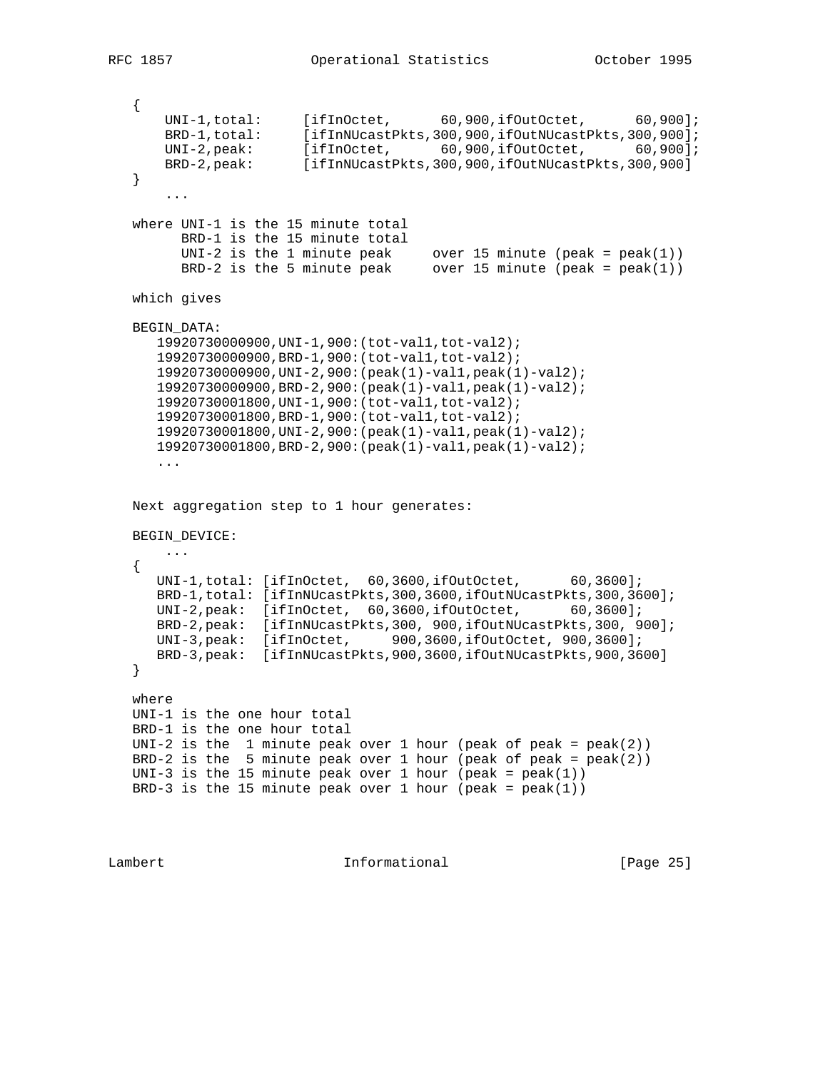```
 {
UNI-1,total: [ifInOctet, 60,900,ifOutOctet, 60,900];
BRD-1,total: [ifInNUcastPkts,300,900,ifOutNUcastPkts,300,900];
UNI-2,peak: [ifInOctet, 60,900,ifOutOctet, 60,900];
BRD-2,peak: [ifInNUcastPkts,300,900,ifOutNUcastPkts,300,900]
  }
      ...
  where UNI-1 is the 15 minute total
        BRD-1 is the 15 minute total
UNI-2 is the 1 minute peak over 15 minute (peak = peak(1))
BRD-2 is the 5 minute peak over 15 minute (peak = peak(1))
  which gives
  BEGIN_DATA:
     19920730000900,UNI-1,900:(tot-val1,tot-val2);
     19920730000900,BRD-1,900:(tot-val1,tot-val2);
     19920730000900,UNI-2,900:(peak(1)-val1,peak(1)-val2);
     19920730000900,BRD-2,900:(peak(1)-val1,peak(1)-val2);
     19920730001800,UNI-1,900:(tot-val1,tot-val2);
     19920730001800,BRD-1,900:(tot-val1,tot-val2);
     19920730001800,UNI-2,900:(peak(1)-val1,peak(1)-val2);
     19920730001800,BRD-2,900:(peak(1)-val1,peak(1)-val2);
     ...
  Next aggregation step to 1 hour generates:
  BEGIN_DEVICE:
     ...
  {
    UNI-1,total: [ifInOctet, 60,3600,ifOutOctet, 60,3600];
     BRD-1,total: [ifInNUcastPkts,300,3600,ifOutNUcastPkts,300,3600];
     UNI-2,peak: [ifInOctet, 60,3600,ifOutOctet, 60,3600];
     BRD-2,peak: [ifInNUcastPkts,300, 900,ifOutNUcastPkts,300, 900];
     UNI-3,peak: [ifInOctet, 900,3600,ifOutOctet, 900,3600];
     BRD-3,peak: [ifInNUcastPkts,900,3600,ifOutNUcastPkts,900,3600]
  }
  where
  UNI-1 is the one hour total
  BRD-1 is the one hour total
 UNI-2 is the 1 minute peak over 1 hour (peak of peak = peak(2))
 BRD-2 is the 5 minute peak over 1 hour (peak of peak = peak(2))
 UNI-3 is the 15 minute peak over 1 hour (peak = peak(1))
 BRD-3 is the 15 minute peak over 1 hour (peak = peak(1))
```
Lambert 1nformational [Page 25]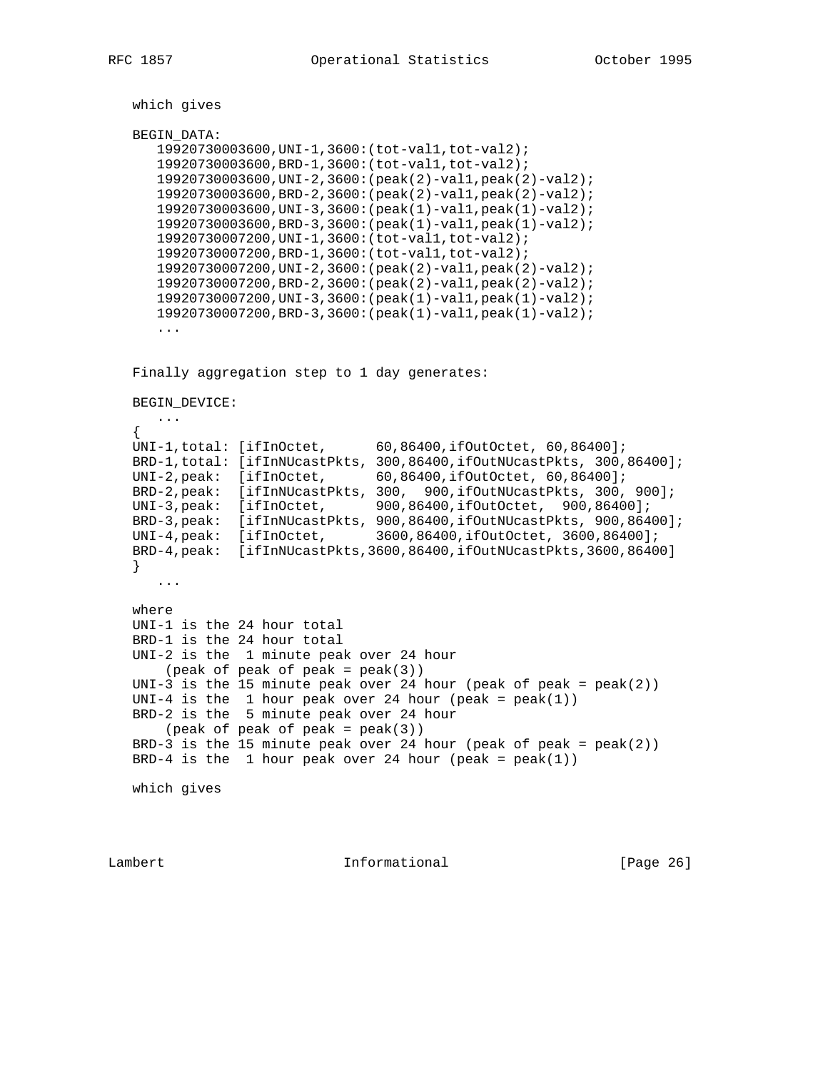which gives

#### BEGIN\_DATA:

 19920730003600,UNI-1,3600:(tot-val1,tot-val2); 19920730003600,BRD-1,3600:(tot-val1,tot-val2); 19920730003600,UNI-2,3600:(peak(2)-val1,peak(2)-val2); 19920730003600,BRD-2,3600:(peak(2)-val1,peak(2)-val2); 19920730003600,UNI-3,3600:(peak(1)-val1,peak(1)-val2); 19920730003600,BRD-3,3600:(peak(1)-val1,peak(1)-val2); 19920730007200,UNI-1,3600:(tot-val1,tot-val2); 19920730007200,BRD-1,3600:(tot-val1,tot-val2); 19920730007200,UNI-2,3600:(peak(2)-val1,peak(2)-val2); 19920730007200,BRD-2,3600:(peak(2)-val1,peak(2)-val2); 19920730007200,UNI-3,3600:(peak(1)-val1,peak(1)-val2); 19920730007200,BRD-3,3600:(peak(1)-val1,peak(1)-val2); ...

Finally aggregation step to 1 day generates:

BEGIN\_DEVICE:

...

```
\{ \cdot \cdot \cdot \cdot \cdot \cdot \cdot \cdot \cdot \cdot \cdot \cdot \cdot \cdot \cdot \cdot \cdot \cdot \cdot \cdot \cdot \cdot \cdot \cdot \cdot \cdot \cdot \cdot \cdot \cdot \cdot \cdot \cdot \cdot \cdot \cdot 
   UNI-1,total: [ifInOctet, 60,86400,ifOutOctet, 60,86400];
  BRD-1,total: [ifInNUcastPkts, 300,86400,ifOutNUcastPkts, 300,86400];
UNI-2,peak: [ifInOctet, 60,86400,ifOutOctet, 60,86400];
BRD-2,peak: [ifInNUcastPkts, 300, 900,ifOutNUcastPkts, 300, 900];
UNI-3,peak: [ifInOctet, 900,86400,ifOutOctet, 900,86400];
   BRD-3,peak: [ifInNUcastPkts, 900,86400,ifOutNUcastPkts, 900,86400];
   UNI-4,peak: [ifInOctet, 3600,86400,ifOutOctet, 3600,86400];
   BRD-4,peak: [ifInNUcastPkts,3600,86400,ifOutNUcastPkts,3600,86400]
   }
      ...
   where
   UNI-1 is the 24 hour total
   BRD-1 is the 24 hour total
   UNI-2 is the 1 minute peak over 24 hour
       (\text{peak of peak of peak} = \text{peak}(3))UNI-3 is the 15 minute peak over 24 hour (peak of peak = peak(2))
  UNI-4 is the 1 hour peak over 24 hour (peak = peak(1))
   BRD-2 is the 5 minute peak over 24 hour
      (peak of peak of peak = peak(3))BRD-3 is the 15 minute peak over 24 hour (peak of peak = peak(2))
  BRD-4 is the 1 hour peak over 24 hour (peak = peak(1))
```
which gives

Lambert 1nformational [Page 26]